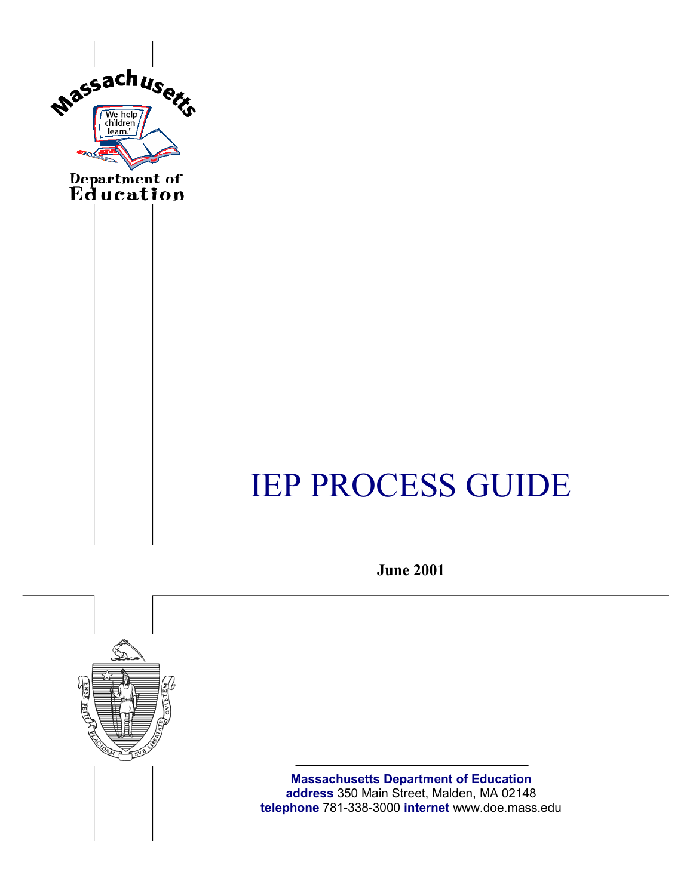

Department of<br>Education

# IEP PROCESS GUIDE

# **June 2001**

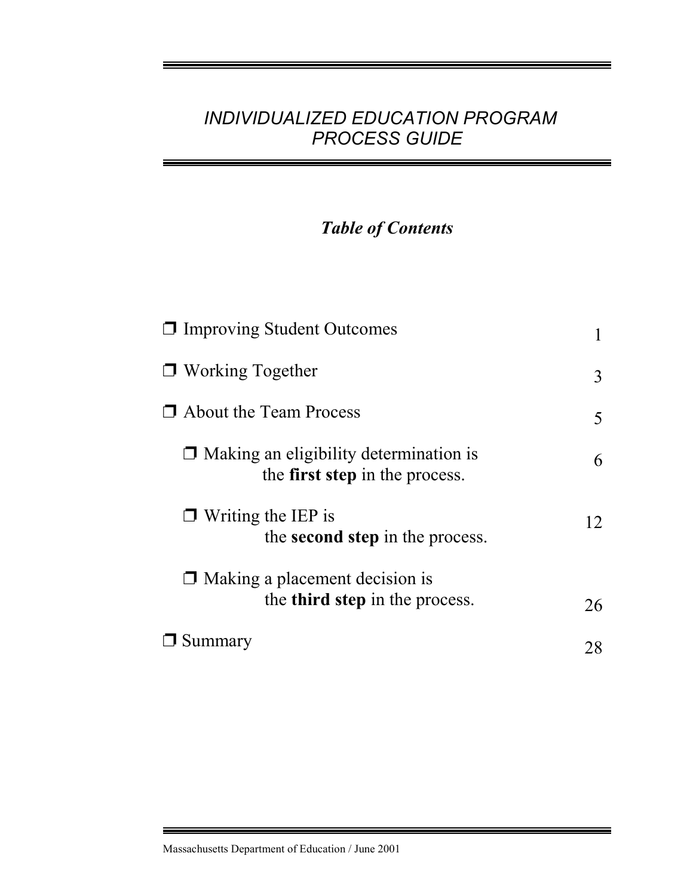# *INDIVIDUALIZED EDUCATION PROGRAM PROCESS GUIDE*

=

# *Table of Contents*

| $\Box$ Improving Student Outcomes                                                      |    |
|----------------------------------------------------------------------------------------|----|
| $\Box$ Working Together                                                                | 3  |
| $\Box$ About the Team Process                                                          | 5  |
| $\Box$ Making an eligibility determination is<br>the <b>first step</b> in the process. | 6  |
| $\Box$ Writing the IEP is<br>the <b>second step</b> in the process.                    | 12 |
| $\Box$ Making a placement decision is<br>the <b>third step</b> in the process.         | 26 |
| Summary                                                                                | 28 |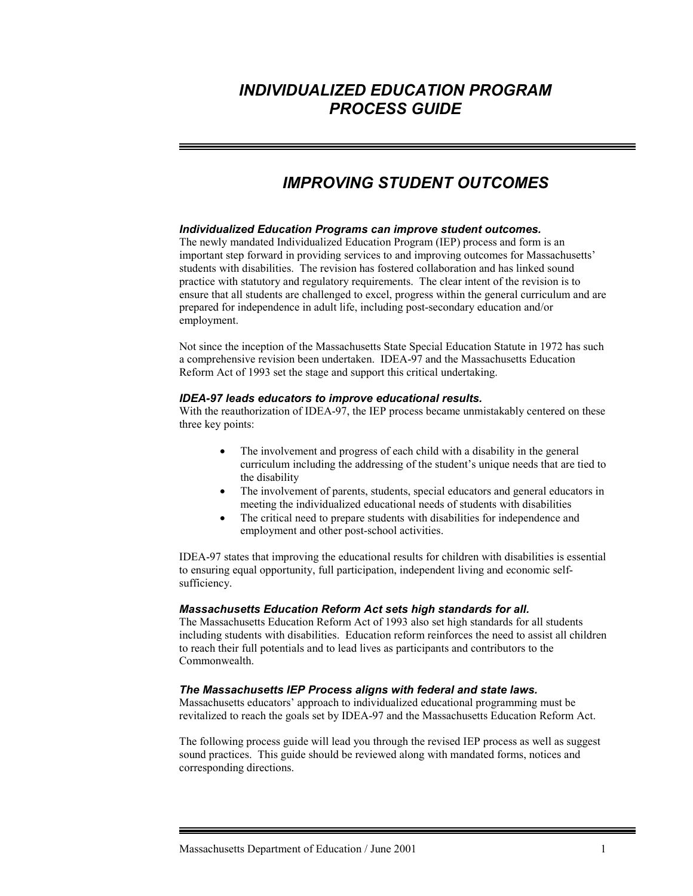# *INDIVIDUALIZED EDUCATION PROGRAM PROCESS GUIDE*

# *IMPROVING STUDENT OUTCOMES*

# *Individualized Education Programs can improve student outcomes.*

The newly mandated Individualized Education Program (IEP) process and form is an important step forward in providing services to and improving outcomes for Massachusetts' students with disabilities. The revision has fostered collaboration and has linked sound practice with statutory and regulatory requirements. The clear intent of the revision is to ensure that all students are challenged to excel, progress within the general curriculum and are prepared for independence in adult life, including post-secondary education and/or employment.

Not since the inception of the Massachusetts State Special Education Statute in 1972 has such a comprehensive revision been undertaken. IDEA-97 and the Massachusetts Education Reform Act of 1993 set the stage and support this critical undertaking.

# *IDEA-97 leads educators to improve educational results.*

With the reauthorization of IDEA-97, the IEP process became unmistakably centered on these three key points:

- The involvement and progress of each child with a disability in the general curriculum including the addressing of the student's unique needs that are tied to the disability
- The involvement of parents, students, special educators and general educators in meeting the individualized educational needs of students with disabilities
- The critical need to prepare students with disabilities for independence and employment and other post-school activities.

IDEA-97 states that improving the educational results for children with disabilities is essential to ensuring equal opportunity, full participation, independent living and economic selfsufficiency.

#### *Massachusetts Education Reform Act sets high standards for all.*

The Massachusetts Education Reform Act of 1993 also set high standards for all students including students with disabilities. Education reform reinforces the need to assist all children to reach their full potentials and to lead lives as participants and contributors to the Commonwealth.

#### *The Massachusetts IEP Process aligns with federal and state laws.*

Massachusetts educators' approach to individualized educational programming must be revitalized to reach the goals set by IDEA-97 and the Massachusetts Education Reform Act.

The following process guide will lead you through the revised IEP process as well as suggest sound practices. This guide should be reviewed along with mandated forms, notices and corresponding directions.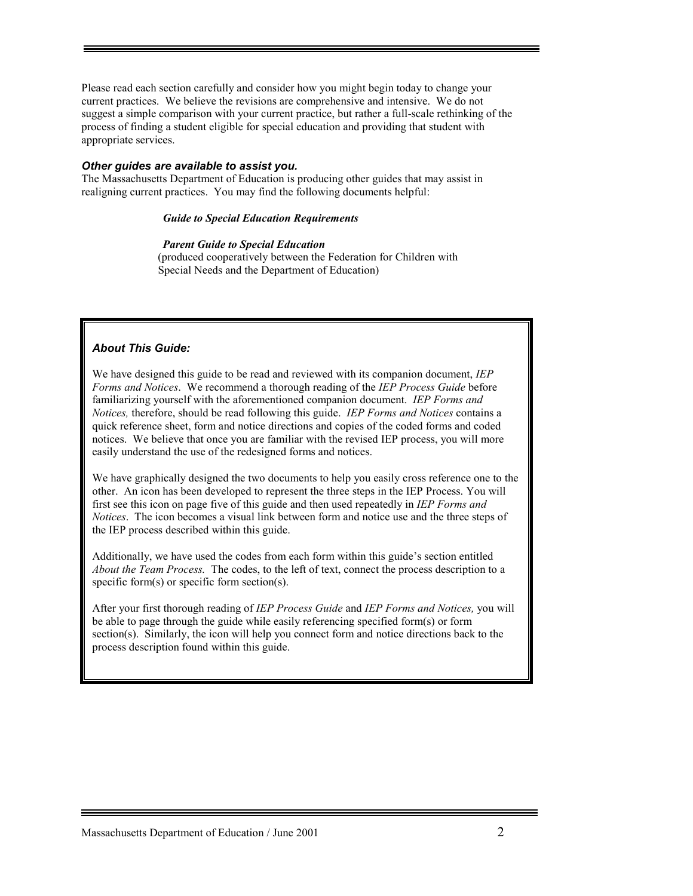Please read each section carefully and consider how you might begin today to change your current practices. We believe the revisions are comprehensive and intensive. We do not suggest a simple comparison with your current practice, but rather a full-scale rethinking of the process of finding a student eligible for special education and providing that student with appropriate services.

#### *Other guides are available to assist you.*

The Massachusetts Department of Education is producing other guides that may assist in realigning current practices. You may find the following documents helpful:

#### *Guide to Special Education Requirements*

#### *Parent Guide to Special Education*

(produced cooperatively between the Federation for Children with Special Needs and the Department of Education)

# *About This Guide:*

We have designed this guide to be read and reviewed with its companion document, *IEP* Forms and Notices. We recommend a thorough reading of the *IEP Process Guide* before *N otices,* therefore, should be read following this guide. *IEP Forms and Notices* contains a familiarizing yourself with the aforementioned companion document. *IEP Forms and*  quick reference sheet, form and notice directions and copies of the coded forms and coded notices. We believe that once you are familiar with the revised IEP process, you will more easily understand the use of the redesigned forms and notices.

*Notices*. The icon becomes a visual link between form and notice use and the three steps of We have graphically designed the two documents to help you easily cross reference one to the other. An icon has been developed to represent the three steps in the IEP Process. You will first see this icon on page five of this guide and then used repeatedly in *IEP Forms and*  the IEP process described within this guide.

*A bout the Team Process.* The codes, to the left of text, connect the process description to a specific form $(s)$  or specific form section $(s)$ . Additionally, we have used the codes from each form within this guide's section entitled

section (s). Similarly, the icon will help you connect form and notice directions back to the After your first thorough reading of *IEP Process Guide* and *IEP Forms and Notices,* you will be able to page through the guide while easily referencing specified form(s) or form process description found within this guide.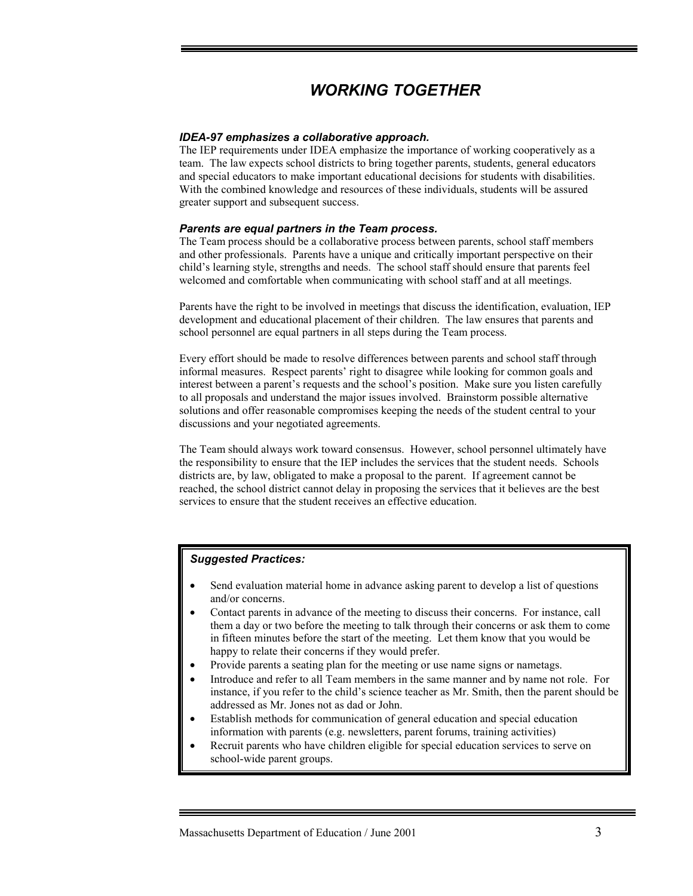# *WORKING TOGETHER*

#### *IDEA-97 emphasizes a collaborative approach.*

The IEP requirements under IDEA emphasize the importance of working cooperatively as a team. The law expects school districts to bring together parents, students, general educators and special educators to make important educational decisions for students with disabilities. With the combined knowledge and resources of these individuals, students will be assured greater support and subsequent success.

#### *Parents are equal partners in the Team process.*

The Team process should be a collaborative process between parents, school staff members and other professionals. Parents have a unique and critically important perspective on their child's learning style, strengths and needs. The school staff should ensure that parents feel welcomed and comfortable when communicating with school staff and at all meetings.

Parents have the right to be involved in meetings that discuss the identification, evaluation, IEP development and educational placement of their children. The law ensures that parents and school personnel are equal partners in all steps during the Team process.

Every effort should be made to resolve differences between parents and school staff through informal measures. Respect parents' right to disagree while looking for common goals and interest between a parent's requests and the school's position. Make sure you listen carefully to all proposals and understand the major issues involved. Brainstorm possible alternative solutions and offer reasonable compromises keeping the needs of the student central to your discussions and your negotiated agreements.

The Team should always work toward consensus. However, school personnel ultimately have the responsibility to ensure that the IEP includes the services that the student needs. Schools districts are, by law, obligated to make a proposal to the parent. If agreement cannot be reached, the school district cannot delay in proposing the services that it believes are the best services to ensure that the student receives an effective education.

#### *Suggested Practices:*

- · Send evaluation material home in advance asking parent to develop a list of questions and/or concerns.
- · Contact parents in advance of the meeting to discuss their concerns. For instance, call them a day or two before the meeting to talk through their concerns or ask them to come in fifteen minutes before the start of the meeting. Let them know that you would be happy to relate their concerns if they would prefer.
- · Provide parents a seating plan for the meeting or use name signs or nametags.
- Introduce and refer to all Team members in the same manner and by name not role. For instance, if you refer to the child's science teacher as Mr. Smith, then the parent should be addressed as Mr. Jones not as dad or John.
- · Establish methods for communication of general education and special education information with parents (e.g. newsletters, parent forums, training activities)
- · Recruit parents who have children eligible for special education services to serve on school-wide parent groups.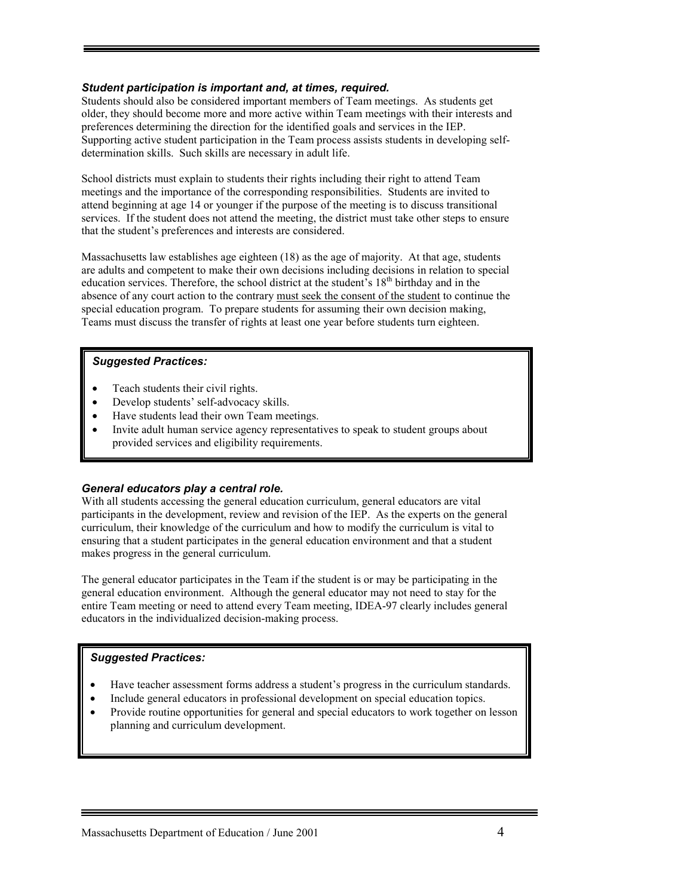# *Student participation is important and, at times, required.*

Students should also be considered important members of Team meetings. As students get older, they should become more and more active within Team meetings with their interests and preferences determining the direction for the identified goals and services in the IEP. Supporting active student participation in the Team process assists students in developing selfdetermination skills. Such skills are necessary in adult life.

School districts must explain to students their rights including their right to attend Team meetings and the importance of the corresponding responsibilities. Students are invited to attend beginning at age 14 or younger if the purpose of the meeting is to discuss transitional services. If the student does not attend the meeting, the district must take other steps to ensure that the student's preferences and interests are considered.

Massachusetts law establishes age eighteen (18) as the age of majority. At that age, students are adults and competent to make their own decisions including decisions in relation to special education services. Therefore, the school district at the student's 18<sup>th</sup> birthday and in the absence of any court action to the contrary must seek the consent of the student to continue the special education program. To prepare students for assuming their own decision making, Teams must discuss the transfer of rights at least one year before students turn eighteen.

# *Suggested Practices:*

- · Teach students their civil rights.
- · Develop students' self-advocacy skills.
- · Have students lead their own Team meetings.
- · Invite adult human service agency representatives to speak to student groups about provided services and eligibility requirements.

#### *General educators play a central role.*

With all students accessing the general education curriculum, general educators are vital participants in the development, review and revision of the IEP. As the experts on the general curriculum, their knowledge of the curriculum and how to modify the curriculum is vital to ensuring that a student participates in the general education environment and that a student makes progress in the general curriculum.

The general educator participates in the Team if the student is or may be participating in the general education environment. Although the general educator may not need to stay for the entire Team meeting or need to attend every Team meeting, IDEA-97 clearly includes general educators in the individualized decision-making process.

# *Suggested Practices:*

- · Have teacher assessment forms address a student's progress in the curriculum standards.
- · Include general educators in professional development on special education topics.
- · Provide routine opportunities for general and special educators to work together on lesson planning and curriculum development.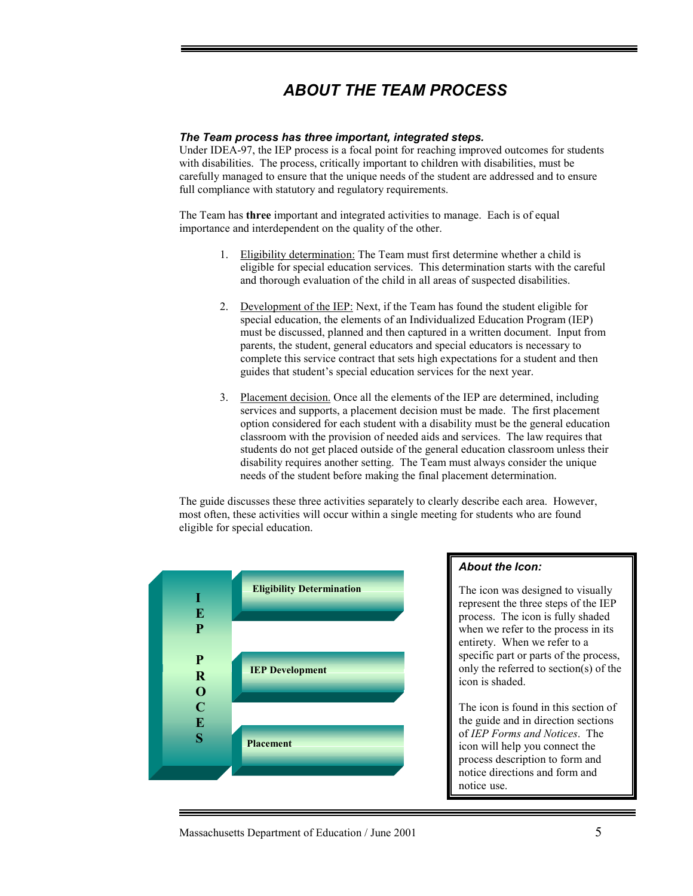# *ABOUT THE TEAM PROCESS*

## *The Team process has three important, integrated steps.*

Under IDEA-97, the IEP process is a focal point for reaching improved outcomes for students with disabilities. The process, critically important to children with disabilities, must be carefully managed to ensure that the unique needs of the student are addressed and to ensure full compliance with statutory and regulatory requirements.

The Team has **three** important and integrated activities to manage. Each is of equal importance and interdependent on the quality of the other.

- 1. Eligibility determination: The Team must first determine whether a child is eligible for special education services. This determination starts with the careful and thorough evaluation of the child in all areas of suspected disabilities.
- 2. Development of the IEP: Next, if the Team has found the student eligible for special education, the elements of an Individualized Education Program (IEP) must be discussed, planned and then captured in a written document. Input from parents, the student, general educators and special educators is necessary to complete this service contract that sets high expectations for a student and then guides that student's special education services for the next year.
- 3. Placement decision. Once all the elements of the IEP are determined, including services and supports, a placement decision must be made. The first placement option considered for each student with a disability must be the general education classroom with the provision of needed aids and services. The law requires that students do not get placed outside of the general education classroom unless their disability requires another setting. The Team must always consider the unique needs of the student before making the final placement determination.

The guide discusses these three activities separately to clearly describe each area. However, most often, these activities will occur within a single meeting for students who are found eligible for special education.



# *About the Icon:*

only the referred to section(s) of the The icon was designed to visually represent the three steps of the IEP process. The icon is fully shaded when we refer to the process in its entirety. When we refer to a specific part or parts of the process, icon is shaded.

of IEP Forms and Notices. The The icon is found in this section of the guide and in direction sections icon will help you connect the process description to form and notice directions and form and notice use.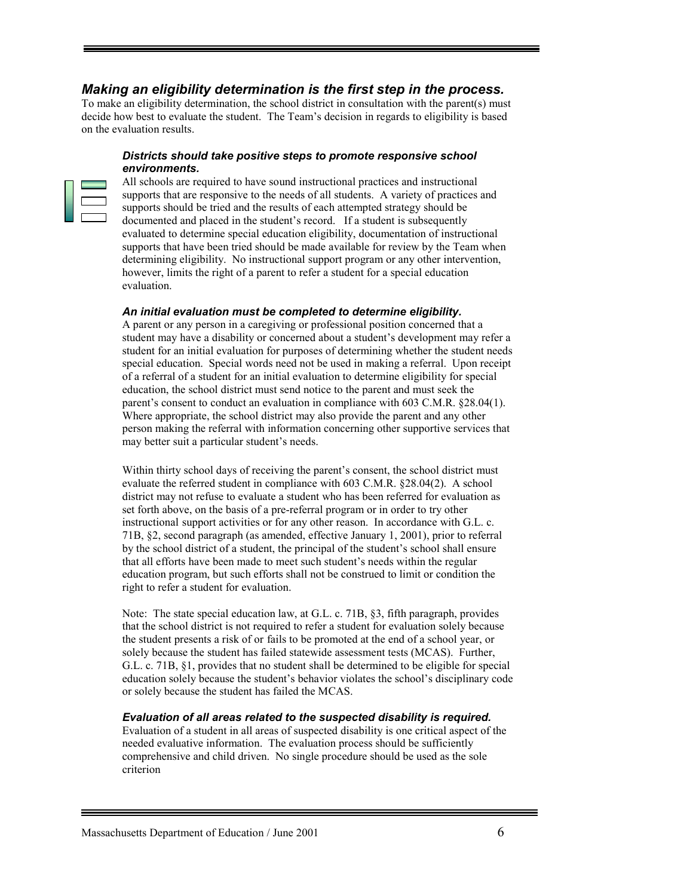# *Making an eligibility determination is the first step in the process.*

To make an eligibility determination, the school district in consultation with the parent(s) must decide how best to evaluate the student. The Team's decision in regards to eligibility is based on the evaluation results.

#### *Districts should take positive steps to promote responsive school environments.*



All schools are required to have sound instructional practices and instructional supports that are responsive to the needs of all students. A variety of practices and supports should be tried and the results of each attempted strategy should be documented and placed in the student's record. If a student is subsequently evaluated to determine special education eligibility, documentation of instructional supports that have been tried should be made available for review by the Team when determining eligibility. No instructional support program or any other intervention, however, limits the right of a parent to refer a student for a special education evaluation.

#### *An initial evaluation must be completed to determine eligibility.*

A parent or any person in a caregiving or professional position concerned that a student may have a disability or concerned about a student's development may refer a student for an initial evaluation for purposes of determining whether the student needs special education. Special words need not be used in making a referral. Upon receipt of a referral of a student for an initial evaluation to determine eligibility for special education, the school district must send notice to the parent and must seek the parent's consent to conduct an evaluation in compliance with 603 C.M.R. §28.04(1). Where appropriate, the school district may also provide the parent and any other person making the referral with information concerning other supportive services that may better suit a particular student's needs.

Within thirty school days of receiving the parent's consent, the school district must evaluate the referred student in compliance with 603 C.M.R. §28.04(2). A school district may not refuse to evaluate a student who has been referred for evaluation as set forth above, on the basis of a pre-referral program or in order to try other instructional support activities or for any other reason. In accordance with G.L. c. 71B, §2, second paragraph (as amended, effective January 1, 2001), prior to referral by the school district of a student, the principal of the student's school shall ensure that all efforts have been made to meet such student's needs within the regular education program, but such efforts shall not be construed to limit or condition the right to refer a student for evaluation.

Note: The state special education law, at G.L. c. 71B, §3, fifth paragraph, provides that the school district is not required to refer a student for evaluation solely because the student presents a risk of or fails to be promoted at the end of a school year, or solely because the student has failed statewide assessment tests (MCAS). Further, G.L. c. 71B, §1, provides that no student shall be determined to be eligible for special education solely because the student's behavior violates the school's disciplinary code or solely because the student has failed the MCAS.

#### *Evaluation of all areas related to the suspected disability is required.*

Evaluation of a student in all areas of suspected disability is one critical aspect of the needed evaluative information. The evaluation process should be sufficiently comprehensive and child driven. No single procedure should be used as the sole criterion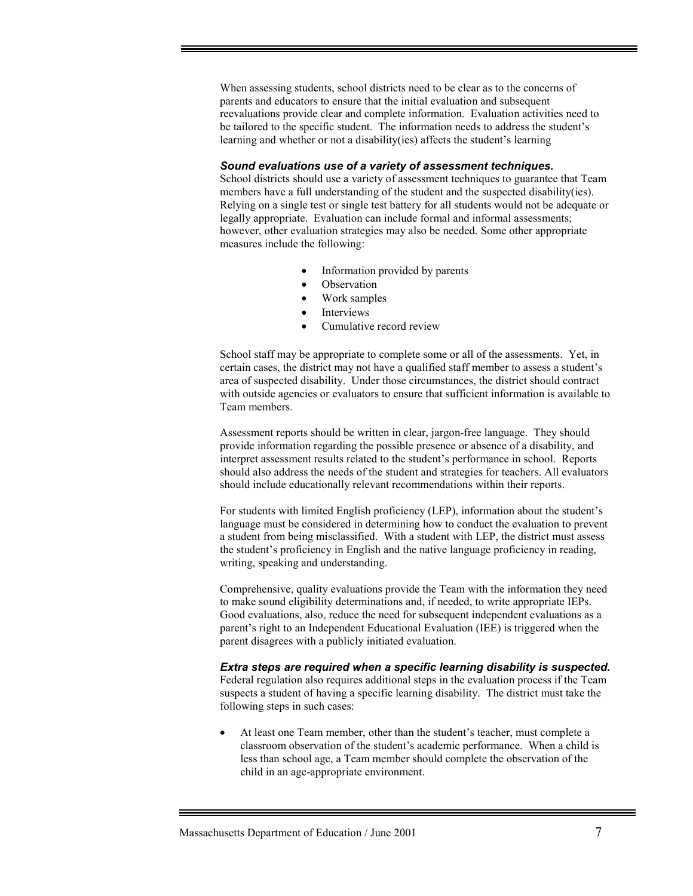When assessing students, school districts need to be clear as to the concerns of parents and educators to ensure that the initial evaluation and subsequent reevaluations provide clear and complete information. Evaluation activities need to be tailored to the specific student. The information needs to address the student's learning and whether or not a disability(ies) affects the student's learning

#### *Sound evaluations use of a variety of assessment techniques.*

School districts should use a variety of assessment techniques to guarantee that Team members have a full understanding of the student and the suspected disability(ies). Relying on a single test or single test battery for all students would not be adequate or legally appropriate. Evaluation can include formal and informal assessments; however, other evaluation strategies may also be needed. Some other appropriate measures include the following:

- Information provided by parents
- **Observation**
- Work samples
- **Interviews**
- Cumulative record review

School staff may be appropriate to complete some or all of the assessments. Yet, in certain cases, the district may not have a qualified staff member to assess a student's area of suspected disability. Under those circumstances, the district should contract with outside agencies or evaluators to ensure that sufficient information is available to Team members.

Assessment reports should be written in clear, jargon-free language. They should provide information regarding the possible presence or absence of a disability, and interpret assessment results related to the student's performance in school. Reports should also address the needs of the student and strategies for teachers. All evaluators should include educationally relevant recommendations within their reports.

For students with limited English proficiency (LEP), information about the student's language must be considered in determining how to conduct the evaluation to prevent a student from being misclassified. With a student with LEP, the district must assess the student's proficiency in English and the native language proficiency in reading, writing, speaking and understanding.

Comprehensive, quality evaluations provide the Team with the information they need to make sound eligibility determinations and, if needed, to write appropriate IEPs. Good evaluations, also, reduce the need for subsequent independent evaluations as a parent's right to an Independent Educational Evaluation (IEE) is triggered when the parent disagrees with a publicly initiated evaluation.

#### *Extra steps are required when a specific learning disability is suspected.*

Federal regulation also requires additional steps in the evaluation process if the Team suspects a student of having a specific learning disability. The district must take the following steps in such cases:

At least one Team member, other than the student's teacher, must complete a classroom observation of the student's academic performance. When a child is less than school age, a Team member should complete the observation of the child in an age-appropriate environment.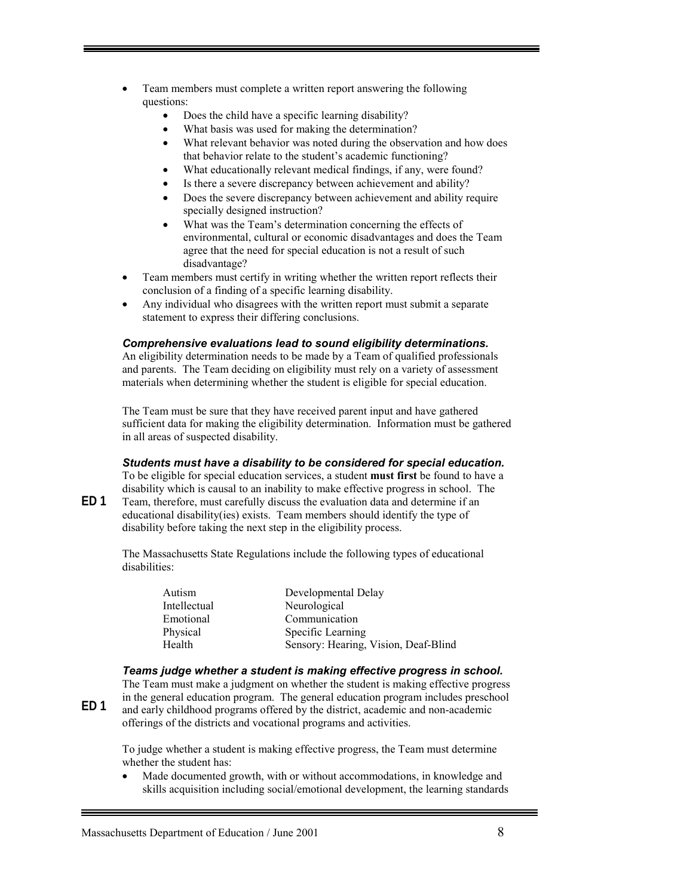- Team members must complete a written report answering the following questions:
	- Does the child have a specific learning disability?
	- What basis was used for making the determination?
	- What relevant behavior was noted during the observation and how does that behavior relate to the student's academic functioning?
	- What educationally relevant medical findings, if any, were found?
	- Is there a severe discrepancy between achievement and ability?
	- · Does the severe discrepancy between achievement and ability require specially designed instruction?
	- What was the Team's determination concerning the effects of environmental, cultural or economic disadvantages and does the Team agree that the need for special education is not a result of such disadvantage?
- Team members must certify in writing whether the written report reflects their conclusion of a finding of a specific learning disability.
- · Any individual who disagrees with the written report must submit a separate statement to express their differing conclusions.

# *Comprehensive evaluations lead to sound eligibility determinations.*

An eligibility determination needs to be made by a Team of qualified professionals and parents. The Team deciding on eligibility must rely on a variety of assessment materials when determining whether the student is eligible for special education.

The Team must be sure that they have received parent input and have gathered sufficient data for making the eligibility determination. Information must be gathered in all areas of suspected disability.

# *Students must have a disability to be considered for special education.*

To be eligible for special education services, a student **must first** be found to have a disability which is causal to an inability to make effective progress in school. The **ED 1** Team, therefore, must carefully discuss the evaluation data and determine if an

educational disability(ies) exists. Team members should identify the type of disability before taking the next step in the eligibility process.

The Massachusetts State Regulations include the following types of educational disabilities:

| Autism       | Developmental Delay                  |
|--------------|--------------------------------------|
| Intellectual | Neurological                         |
| Emotional    | Communication                        |
| Physical     | Specific Learning                    |
| Health       | Sensory: Hearing, Vision, Deaf-Blind |

#### *Teams judge whether a student is making effective progress in school.*

The Team must make a judgment on whether the student is making effective progress in the general education program. The general education program includes preschool **ED 1** and early childhood programs offered by the district, academic and non-academic offerings of the districts and vocational programs and activities.

To judge whether a student is making effective progress, the Team must determine whether the student has:

Made documented growth, with or without accommodations, in knowledge and skills acquisition including social/emotional development, the learning standards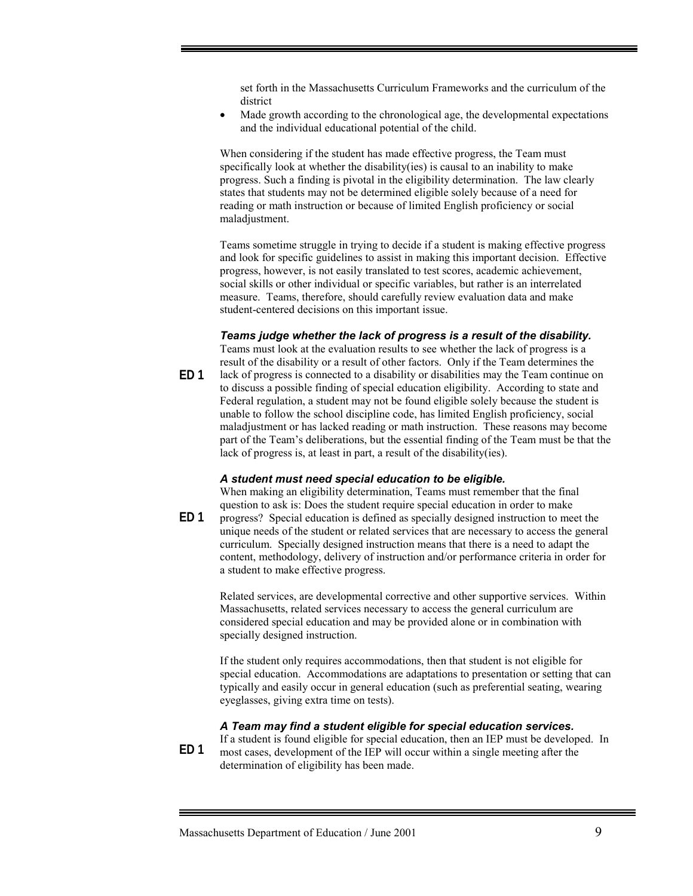set forth in the Massachusetts Curriculum Frameworks and the curriculum of the district

Made growth according to the chronological age, the developmental expectations and the individual educational potential of the child.

When considering if the student has made effective progress, the Team must specifically look at whether the disability(ies) is causal to an inability to make progress. Such a finding is pivotal in the eligibility determination. The law clearly states that students may not be determined eligible solely because of a need for reading or math instruction or because of limited English proficiency or social maladjustment.

Teams sometime struggle in trying to decide if a student is making effective progress and look for specific guidelines to assist in making this important decision. Effective progress, however, is not easily translated to test scores, academic achievement, social skills or other individual or specific variables, but rather is an interrelated measure. Teams, therefore, should carefully review evaluation data and make student-centered decisions on this important issue.

#### *Teams judge whether the lack of progress is a result of the disability.*

Teams must look at the evaluation results to see whether the lack of progress is a result of the disability or a result of other factors. Only if the Team determines the **ED 1** lack of progress is connected to a disability or disabilities may the Team continue on to discuss a possible finding of special education eligibility. According to state and Federal regulation, a student may not be found eligible solely because the student is unable to follow the school discipline code, has limited English proficiency, social maladjustment or has lacked reading or math instruction. These reasons may become part of the Team's deliberations, but the essential finding of the Team must be that the lack of progress is, at least in part, a result of the disability(ies).

#### *A student must need special education to be eligible.*

When making an eligibility determination, Teams must remember that the final question to ask is: Does the student require special education in order to make **ED 1** progress? Special education is defined as specially designed instruction to meet the unique needs of the student or related services that are necessary to access the general curriculum. Specially designed instruction means that there is a need to adapt the content, methodology, delivery of instruction and/or performance criteria in order for a student to make effective progress.

Related services, are developmental corrective and other supportive services. Within Massachusetts, related services necessary to access the general curriculum are considered special education and may be provided alone or in combination with specially designed instruction.

If the student only requires accommodations, then that student is not eligible for special education. Accommodations are adaptations to presentation or setting that can typically and easily occur in general education (such as preferential seating, wearing eyeglasses, giving extra time on tests).

#### *A Team may find a student eligible for special education services.*

If a student is found eligible for special education, then an IEP must be developed. In **ED 1** most cases, development of the IEP will occur within a single meeting after the determination of eligibility has been made.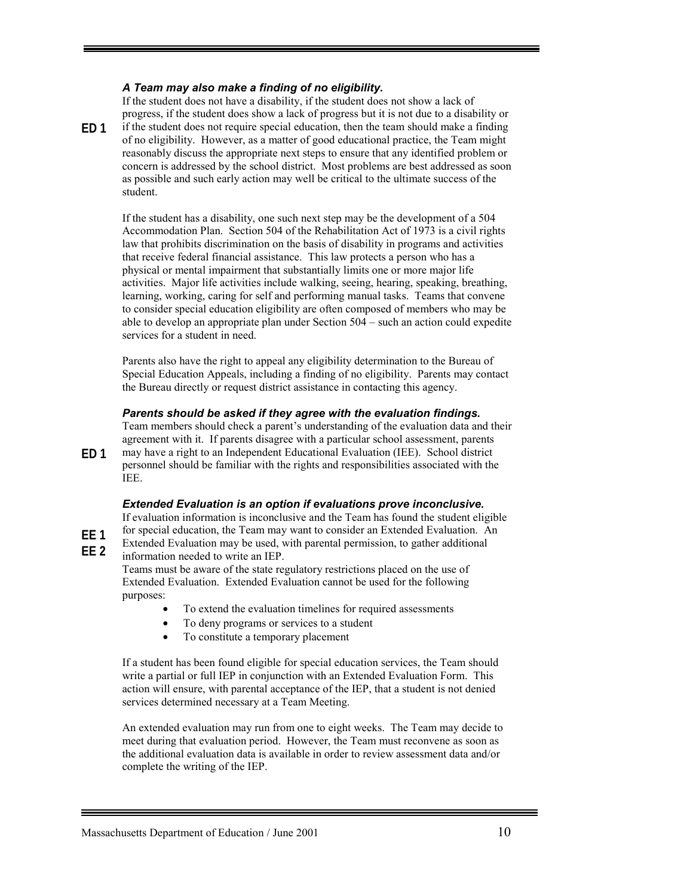## *A Team may also make a finding of no eligibility.*

If the student does not have a disability, if the student does not show a lack of progress, if the student does show a lack of progress but it is not due to a disability or **ED 1** if the student does not require special education, then the team should make a finding of no eligibility. However, as a matter of good educational practice, the Team might reasonably discuss the appropriate next steps to ensure that any identified problem or concern is addressed by the school district. Most problems are best addressed as soon as possible and such early action may well be critical to the ultimate success of the student.

If the student has a disability, one such next step may be the development of a 504 Accommodation Plan. Section 504 of the Rehabilitation Act of 1973 is a civil rights law that prohibits discrimination on the basis of disability in programs and activities that receive federal financial assistance. This law protects a person who has a physical or mental impairment that substantially limits one or more major life activities. Major life activities include walking, seeing, hearing, speaking, breathing, learning, working, caring for self and performing manual tasks. Teams that convene to consider special education eligibility are often composed of members who may be able to develop an appropriate plan under Section 504 – such an action could expedite services for a student in need.

Parents also have the right to appeal any eligibility determination to the Bureau of Special Education Appeals, including a finding of no eligibility. Parents may contact the Bureau directly or request district assistance in contacting this agency.

# *Parents should be asked if they agree with the evaluation findings.*

Team members should check a parent's understanding of the evaluation data and their agreement with it. If parents disagree with a particular school assessment, parents **ED 1** may have a right to an Independent Educational Evaluation (IEE). School district personnel should be familiar with the rights and responsibilities associated with the IEE.

# *Extended Evaluation is an option if evaluations prove inconclusive.*

If evaluation information is inconclusive and the Team has found the student eligible **EE 1** for special education, the Team may want to consider an Extended Evaluation. An

Extended Evaluation may be used, with parental permission, to gather additional information needed to write an IEP.

Teams must be aware of the state regulatory restrictions placed on the use of Extended Evaluation. Extended Evaluation cannot be used for the following purposes:

- To extend the evaluation timelines for required assessments
- · To deny programs or services to a student
- · To constitute a temporary placement

If a student has been found eligible for special education services, the Team should write a partial or full IEP in conjunction with an Extended Evaluation Form. This action will ensure, with parental acceptance of the IEP, that a student is not denied services determined necessary at a Team Meeting.

An extended evaluation may run from one to eight weeks. The Team may decide to meet during that evaluation period. However, the Team must reconvene as soon as the additional evaluation data is available in order to review assessment data and/or complete the writing of the IEP.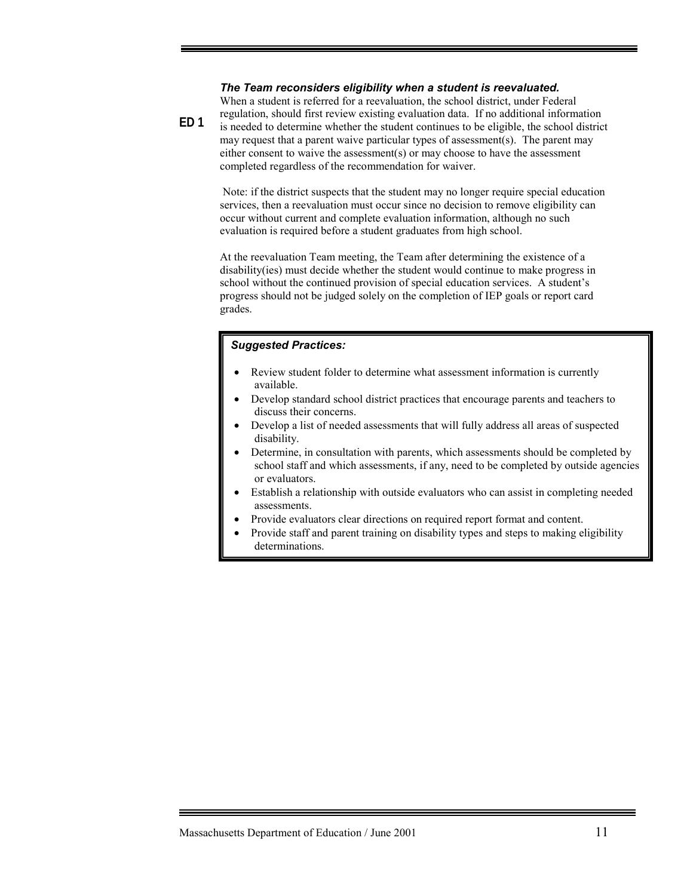# *The Team reconsiders eligibility when a student is reevaluated.*

When a student is referred for a reevaluation, the school district, under Federal

regulation, should first review existing evaluation data. If no additional information **ED 1** is needed to determine whether the student continues to be eligible, the school district may request that a parent waive particular types of assessment(s). The parent may either consent to waive the assessment(s) or may choose to have the assessment completed regardless of the recommendation for waiver.

 Note: if the district suspects that the student may no longer require special education services, then a reevaluation must occur since no decision to remove eligibility can occur without current and complete evaluation information, although no such evaluation is required before a student graduates from high school.

At the reevaluation Team meeting, the Team after determining the existence of a disability(ies) must decide whether the student would continue to make progress in school without the continued provision of special education services. A student's progress should not be judged solely on the completion of IEP goals or report card grades.

#### *Suggested Practices:*

- · Review student folder to determine what assessment information is currently available.
- · Develop standard school district practices that encourage parents and teachers to discuss their concerns.
- · Develop a list of needed assessments that will fully address all areas of suspected disability.
- · Determine, in consultation with parents, which assessments should be completed by school staff and which assessments, if any, need to be completed by outside agencies or evaluators.
- · Establish a relationship with outside evaluators who can assist in completing needed assessments.
- · Provide evaluators clear directions on required report format and content.
- · Provide staff and parent training on disability types and steps to making eligibility determinations.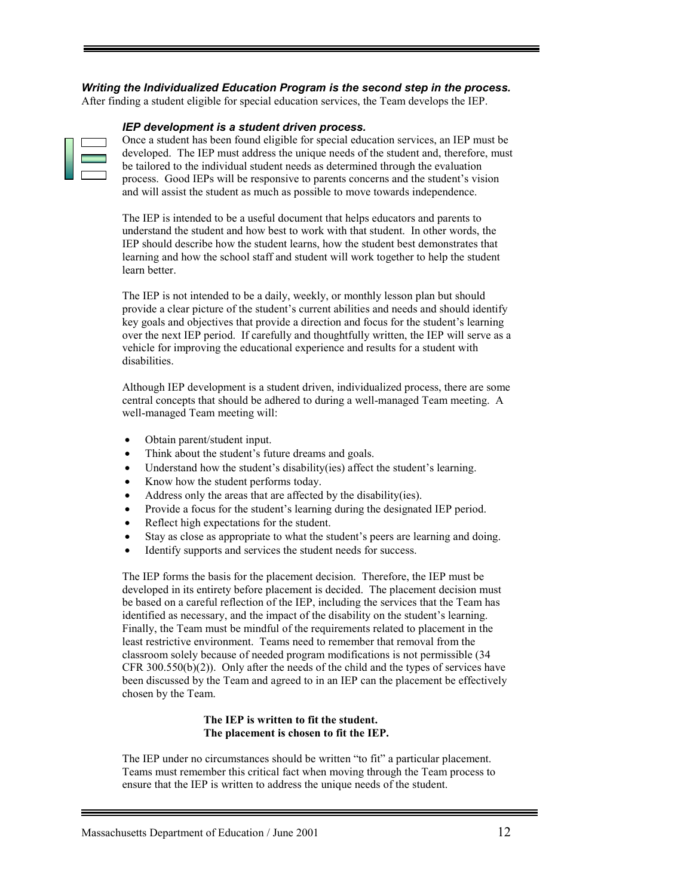## *Writing the Individualized Education Program is the second step in the process.*

After finding a student eligible for special education services, the Team develops the IEP.

#### *IEP development is a student driven process.*

Once a student has been found eligible for special education services, an IEP must be developed. The IEP must address the unique needs of the student and, therefore, must be tailored to the individual student needs as determined through the evaluation process. Good IEPs will be responsive to parents concerns and the student's vision and will assist the student as much as possible to move towards independence.

The IEP is intended to be a useful document that helps educators and parents to understand the student and how best to work with that student. In other words, the IEP should describe how the student learns, how the student best demonstrates that learning and how the school staff and student will work together to help the student learn better.

The IEP is not intended to be a daily, weekly, or monthly lesson plan but should provide a clear picture of the student's current abilities and needs and should identify key goals and objectives that provide a direction and focus for the student's learning over the next IEP period. If carefully and thoughtfully written, the IEP will serve as a vehicle for improving the educational experience and results for a student with disabilities.

Although IEP development is a student driven, individualized process, there are some central concepts that should be adhered to during a well-managed Team meeting. A well-managed Team meeting will:

- · Obtain parent/student input.
- Think about the student's future dreams and goals.
- Understand how the student's disability(ies) affect the student's learning.
- Know how the student performs today.
- Address only the areas that are affected by the disability(ies).
- Provide a focus for the student's learning during the designated IEP period.
- Reflect high expectations for the student.
- Stay as close as appropriate to what the student's peers are learning and doing.
- Identify supports and services the student needs for success.

The IEP forms the basis for the placement decision. Therefore, the IEP must be developed in its entirety before placement is decided. The placement decision must be based on a careful reflection of the IEP, including the services that the Team has identified as necessary, and the impact of the disability on the student's learning. Finally, the Team must be mindful of the requirements related to placement in the least restrictive environment. Teams need to remember that removal from the classroom solely because of needed program modifications is not permissible (34 CFR 300.550(b)(2)). Only after the needs of the child and the types of services have been discussed by the Team and agreed to in an IEP can the placement be effectively chosen by the Team.

#### **The IEP is written to fit the student. The placement is chosen to fit the IEP.**

The IEP under no circumstances should be written "to fit" a particular placement. Teams must remember this critical fact when moving through the Team process to ensure that the IEP is written to address the unique needs of the student.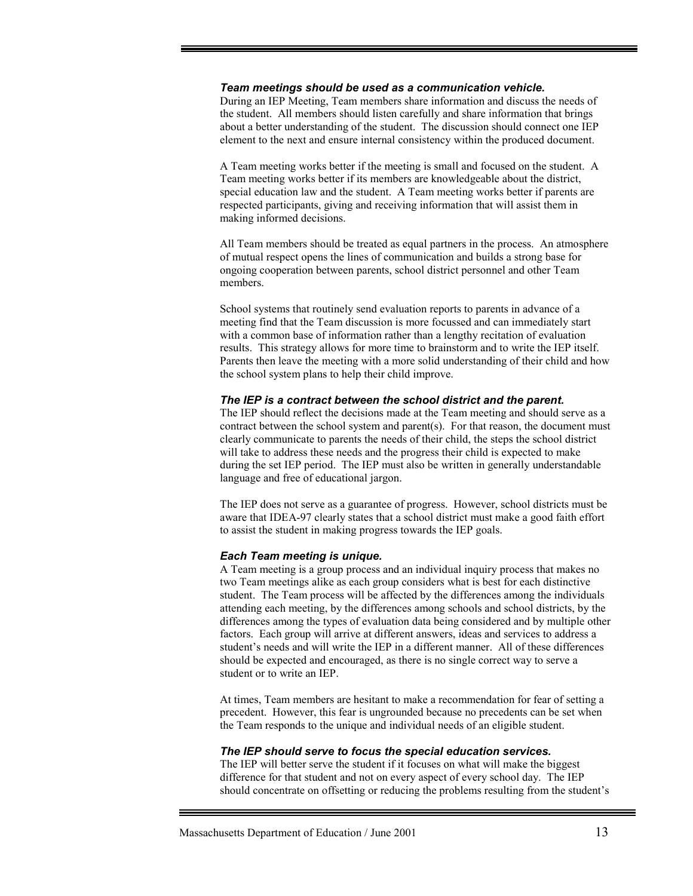# *Team meetings should be used as a communication vehicle.*

During an IEP Meeting, Team members share information and discuss the needs of the student. All members should listen carefully and share information that brings about a better understanding of the student. The discussion should connect one IEP element to the next and ensure internal consistency within the produced document.

A Team meeting works better if the meeting is small and focused on the student. A Team meeting works better if its members are knowledgeable about the district, special education law and the student. A Team meeting works better if parents are respected participants, giving and receiving information that will assist them in making informed decisions.

All Team members should be treated as equal partners in the process. An atmosphere of mutual respect opens the lines of communication and builds a strong base for ongoing cooperation between parents, school district personnel and other Team members.

School systems that routinely send evaluation reports to parents in advance of a meeting find that the Team discussion is more focussed and can immediately start with a common base of information rather than a lengthy recitation of evaluation results. This strategy allows for more time to brainstorm and to write the IEP itself. Parents then leave the meeting with a more solid understanding of their child and how the school system plans to help their child improve.

#### *The IEP is a contract between the school district and the parent.*

The IEP should reflect the decisions made at the Team meeting and should serve as a contract between the school system and parent(s). For that reason, the document must clearly communicate to parents the needs of their child, the steps the school district will take to address these needs and the progress their child is expected to make during the set IEP period. The IEP must also be written in generally understandable language and free of educational jargon.

The IEP does not serve as a guarantee of progress. However, school districts must be aware that IDEA-97 clearly states that a school district must make a good faith effort to assist the student in making progress towards the IEP goals.

#### *Each Team meeting is unique.*

A Team meeting is a group process and an individual inquiry process that makes no two Team meetings alike as each group considers what is best for each distinctive student. The Team process will be affected by the differences among the individuals attending each meeting, by the differences among schools and school districts, by the differences among the types of evaluation data being considered and by multiple other factors. Each group will arrive at different answers, ideas and services to address a student's needs and will write the IEP in a different manner. All of these differences should be expected and encouraged, as there is no single correct way to serve a student or to write an IEP.

At times, Team members are hesitant to make a recommendation for fear of setting a precedent. However, this fear is ungrounded because no precedents can be set when the Team responds to the unique and individual needs of an eligible student.

#### *The IEP should serve to focus the special education services.*

The IEP will better serve the student if it focuses on what will make the biggest difference for that student and not on every aspect of every school day. The IEP should concentrate on offsetting or reducing the problems resulting from the student's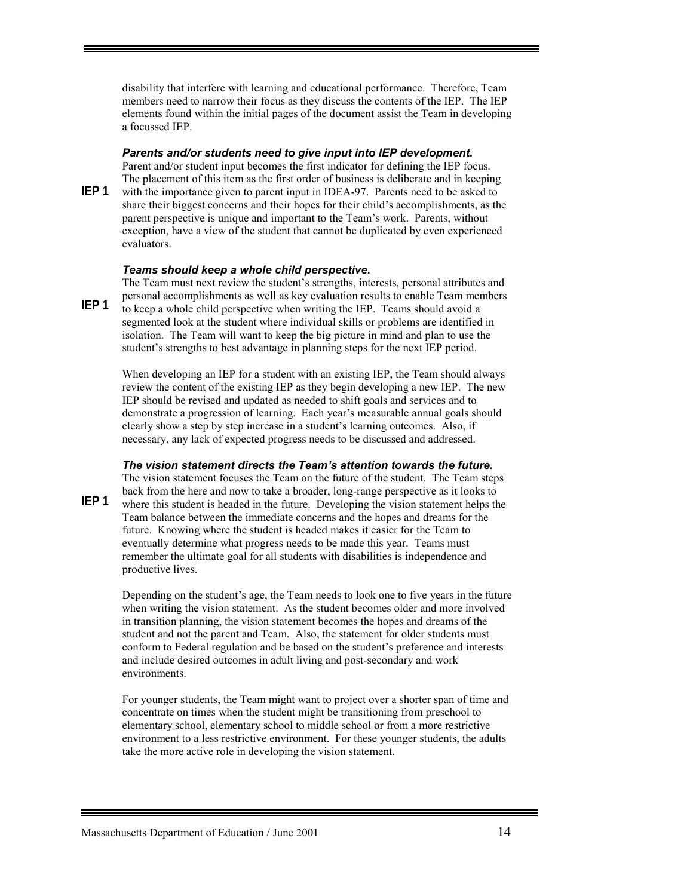disability that interfere with learning and educational performance. Therefore, Team members need to narrow their focus as they discuss the contents of the IEP. The IEP elements found within the initial pages of the document assist the Team in developing a focussed IEP.

#### *Parents and/or students need to give input into IEP development.*

Parent and/or student input becomes the first indicator for defining the IEP focus. The placement of this item as the first order of business is deliberate and in keeping

**IEP 1** with the importance given to parent input in IDEA-97. Parents need to be asked to share their biggest concerns and their hopes for their child's accomplishments, as the parent perspective is unique and important to the Team's work. Parents, without exception, have a view of the student that cannot be duplicated by even experienced evaluators.

#### *Teams should keep a whole child perspective.*

The Team must next review the student's strengths, interests, personal attributes and personal accomplishments as well as key evaluation results to enable Team members **IEP 1** to keep a whole child perspective when writing the IEP. Teams should avoid a segmented look at the student where individual skills or problems are identified in isolation. The Team will want to keep the big picture in mind and plan to use the student's strengths to best advantage in planning steps for the next IEP period.

When developing an IEP for a student with an existing IEP, the Team should always review the content of the existing IEP as they begin developing a new IEP. The new IEP should be revised and updated as needed to shift goals and services and to demonstrate a progression of learning. Each year's measurable annual goals should clearly show a step by step increase in a student's learning outcomes. Also, if necessary, any lack of expected progress needs to be discussed and addressed.

#### *The vision statement directs the Team's attention towards the future.*

The vision statement focuses the Team on the future of the student. The Team steps **IEP 1** where this student is headed in the future. Developing the vision statement helps the vision statement helps the Team balance between the immediate concerns and the hopes and dreams for the future. Knowing where the student is headed makes it easier for the Team to eventually determine what progress needs to be made this year. Teams must remember the ultimate goal for all students with disabilities is independence and productive lives.

Depending on the student's age, the Team needs to look one to five years in the future when writing the vision statement. As the student becomes older and more involved in transition planning, the vision statement becomes the hopes and dreams of the student and not the parent and Team. Also, the statement for older students must conform to Federal regulation and be based on the student's preference and interests and include desired outcomes in adult living and post-secondary and work environments.

For younger students, the Team might want to project over a shorter span of time and concentrate on times when the student might be transitioning from preschool to elementary school, elementary school to middle school or from a more restrictive environment to a less restrictive environment. For these younger students, the adults take the more active role in developing the vision statement.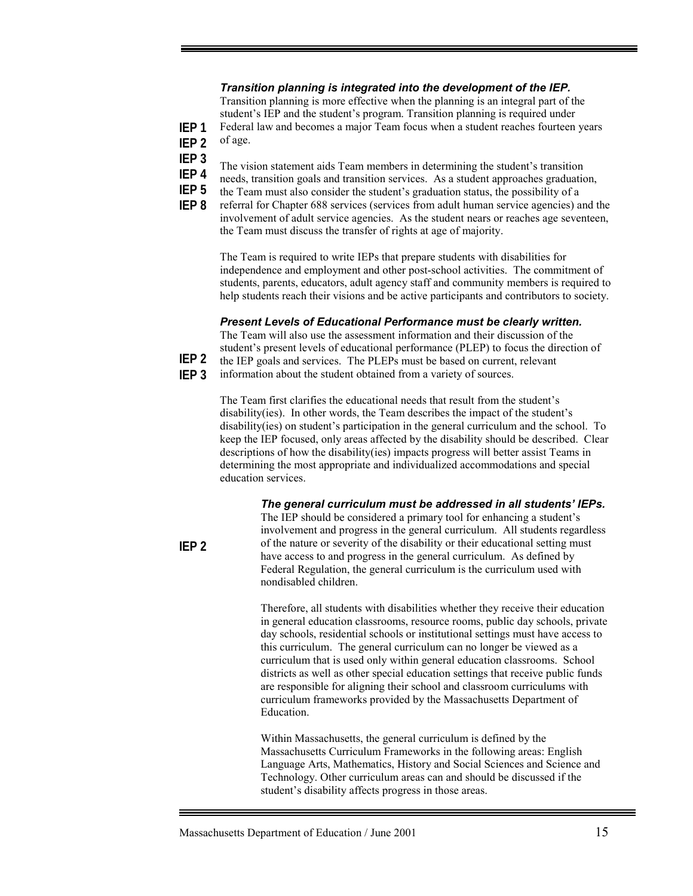# *Transition planning is integrated into the development of the IEP.*

Transition planning is more effective when the planning is an integral part of the student's IEP and the student's program. Transition planning is required under

- **IEP 1** Federal law and becomes a major Team focus when a student reaches fourteen years of age. **IEP 2**
- 
- 
- **IEP 3** The vision statement aids Team members in determining the student's transition needs, transition goals and transition services. As a student approaches graduation, **IEP 5** the Team must also consider the student's
- **IEP 5** the Team must also consider the student's graduation status, the possibility of a<br>**IEP 8** referral for Chapter 688 services (services from adult human service agencies) a
- referral for Chapter 688 services (services from adult human service agencies) and the involvement of adult service agencies. As the student nears or reaches age seventeen, the Team must discuss the transfer of rights at age of majority.

The Team is required to write IEPs that prepare students with disabilities for independence and employment and other post-school activities. The commitment of students, parents, educators, adult agency staff and community members is required to help students reach their visions and be active participants and contributors to society.

#### *Present Levels of Educational Performance must be clearly written.*

The Team will also use the assessment information and their discussion of the student's present levels of educational performance (PLEP) to focus the direction of

- **IEP 2** the IEP goals and services. The PLEPs must be based on current, relevant
- **IEP 3** information about the student obtained from a variety of sources.

The Team first clarifies the educational needs that result from the student's disability(ies). In other words, the Team describes the impact of the student's disability(ies) on student's participation in the general curriculum and the school. To keep the IEP focused, only areas affected by the disability should be described. Clear descriptions of how the disability(ies) impacts progress will better assist Teams in determining the most appropriate and individualized accommodations and special education services.

*The general curriculum must be addressed in all students' IEPs.*  The IEP should be considered a primary tool for enhancing a student's involvement and progress in the general curriculum. All students regardless of the nature or severity of the disability or their educational setting must **IEP 2**  have access to and progress in the general curriculum. As defined by Federal Regulation, the general curriculum is the curriculum used with nondisabled children.

> Therefore, all students with disabilities whether they receive their education in general education classrooms, resource rooms, public day schools, private day schools, residential schools or institutional settings must have access to this curriculum. The general curriculum can no longer be viewed as a curriculum that is used only within general education classrooms. School districts as well as other special education settings that receive public funds are responsible for aligning their school and classroom curriculums with curriculum frameworks provided by the Massachusetts Department of **Education**

Within Massachusetts, the general curriculum is defined by the Massachusetts Curriculum Frameworks in the following areas: English Language Arts, Mathematics, History and Social Sciences and Science and Technology. Other curriculum areas can and should be discussed if the student's disability affects progress in those areas.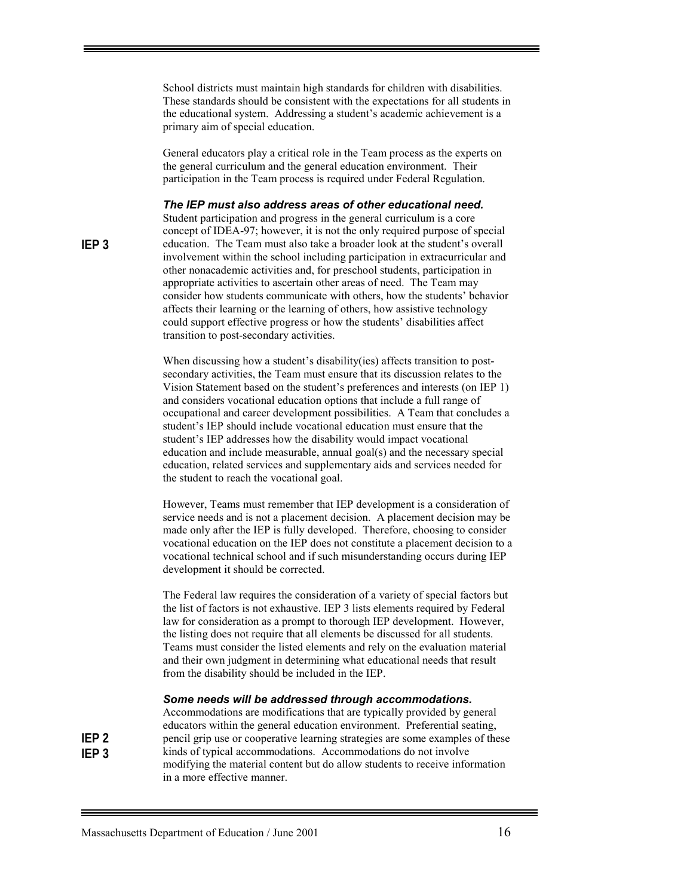School districts must maintain high standards for children with disabilities. These standards should be consistent with the expectations for all students in the educational system. Addressing a student's academic achievement is a primary aim of special education.

General educators play a critical role in the Team process as the experts on the general curriculum and the general education environment. Their participation in the Team process is required under Federal Regulation.

*The IEP must also address areas of other educational need.* 

Student participation and progress in the general curriculum is a core concept of IDEA-97; however, it is not the only required purpose of special **IEP 3** education. The Team must also take a broader look at the student's overall involvement within the school including participation in extracurricular and other nonacademic activities and, for preschool students, participation in appropriate activities to ascertain other areas of need. The Team may consider how students communicate with others, how the students' behavior affects their learning or the learning of others, how assistive technology could support effective progress or how the students' disabilities affect transition to post-secondary activities.

> When discussing how a student's disability (ies) affects transition to postsecondary activities, the Team must ensure that its discussion relates to the Vision Statement based on the student's preferences and interests (on IEP 1) and considers vocational education options that include a full range of occupational and career development possibilities. A Team that concludes a student's IEP should include vocational education must ensure that the student's IEP addresses how the disability would impact vocational education and include measurable, annual goal(s) and the necessary special education, related services and supplementary aids and services needed for the student to reach the vocational goal.

> However, Teams must remember that IEP development is a consideration of service needs and is not a placement decision. A placement decision may be made only after the IEP is fully developed. Therefore, choosing to consider vocational education on the IEP does not constitute a placement decision to a vocational technical school and if such misunderstanding occurs during IEP development it should be corrected.

The Federal law requires the consideration of a variety of special factors but the list of factors is not exhaustive. IEP 3 lists elements required by Federal law for consideration as a prompt to thorough IEP development. However, the listing does not require that all elements be discussed for all students. Teams must consider the listed elements and rely on the evaluation material and their own judgment in determining what educational needs that result from the disability should be included in the IEP.

#### *Some needs will be addressed through accommodations.*

Accommodations are modifications that are typically provided by general educators within the general education environment. Preferential seating, **IEP 2 pencil grip use or cooperative learning strategies are some examples of these IEP 3** kinds of typical accommodations. Accommodations do not involve modifying the material content but do allow students to receive information in a more effective manner.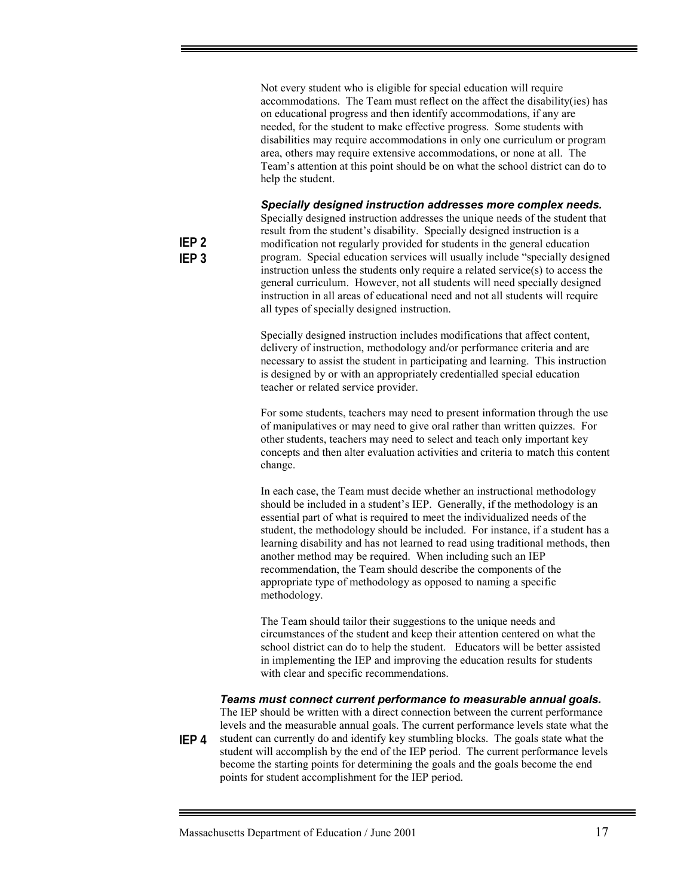Not every student who is eligible for special education will require accommodations. The Team must reflect on the affect the disability(ies) has on educational progress and then identify accommodations, if any are needed, for the student to make effective progress. Some students with disabilities may require accommodations in only one curriculum or program area, others may require extensive accommodations, or none at all. The Team's attention at this point should be on what the school district can do to help the student.

*Specially designed instruction addresses more complex needs.*  Specially designed instruction addresses the unique needs of the student that result from the student's disability. Specially designed instruction is a **IEP 2** modification not regularly provided for students in the general education **IEP 3** program. Special education services will usually include "specially designed instruction unless the students only require a related service(s) to access the general curriculum. However, not all students will need specially designed instruction in all areas of educational need and not all students will require all types of specially designed instruction.

> Specially designed instruction includes modifications that affect content, delivery of instruction, methodology and/or performance criteria and are necessary to assist the student in participating and learning. This instruction is designed by or with an appropriately credentialled special education teacher or related service provider.

For some students, teachers may need to present information through the use of manipulatives or may need to give oral rather than written quizzes. For other students, teachers may need to select and teach only important key concepts and then alter evaluation activities and criteria to match this content change.

In each case, the Team must decide whether an instructional methodology should be included in a student's IEP. Generally, if the methodology is an essential part of what is required to meet the individualized needs of the student, the methodology should be included. For instance, if a student has a learning disability and has not learned to read using traditional methods, then another method may be required. When including such an IEP recommendation, the Team should describe the components of the appropriate type of methodology as opposed to naming a specific methodology.

The Team should tailor their suggestions to the unique needs and circumstances of the student and keep their attention centered on what the school district can do to help the student. Educators will be better assisted in implementing the IEP and improving the education results for students with clear and specific recommendations.

*Teams must connect current performance to measurable annual goals.* 

The IEP should be written with a direct connection between the current performance levels and the measurable annual goals. The current performance levels state what the **IEP 4** student can currently do and identify key stumbling blocks. The goals state what the

- student will accomplish by the end of the IEP period. The current performance levels become the starting points for determining the goals and the goals become the end
- 

points for student accomplishment for the IEP period.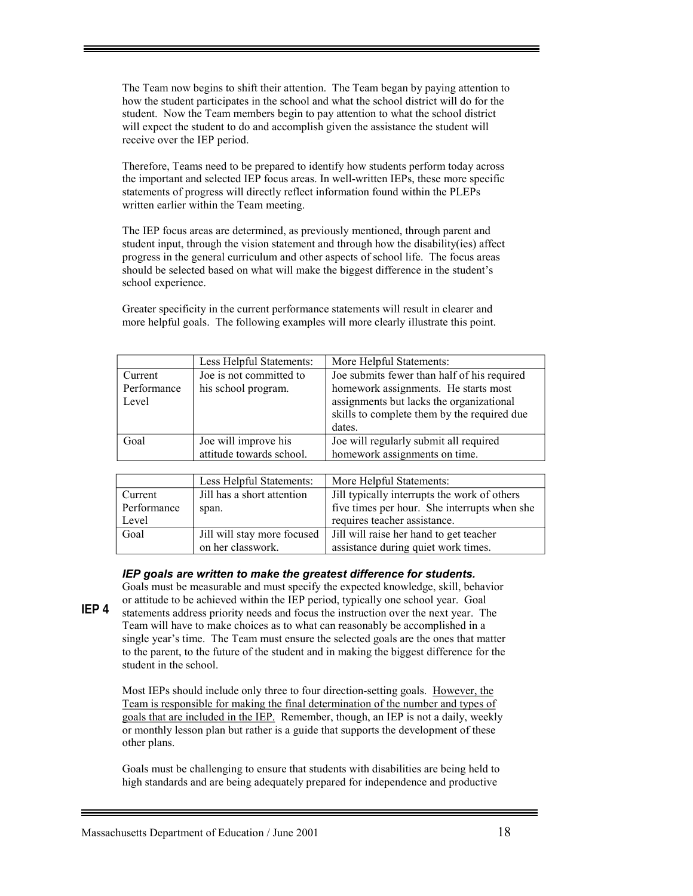The Team now begins to shift their attention. The Team began by paying attention to how the student participates in the school and what the school district will do for the student. Now the Team members begin to pay attention to what the school district will expect the student to do and accomplish given the assistance the student will receive over the IEP period.

Therefore, Teams need to be prepared to identify how students perform today across the important and selected IEP focus areas. In well-written IEPs, these more specific statements of progress will directly reflect information found within the PLEPs written earlier within the Team meeting.

The IEP focus areas are determined, as previously mentioned, through parent and student input, through the vision statement and through how the disability(ies) affect progress in the general curriculum and other aspects of school life. The focus areas should be selected based on what will make the biggest difference in the student's school experience.

Greater specificity in the current performance statements will result in clearer and more helpful goals. The following examples will more clearly illustrate this point.

|             | Less Helpful Statements: | More Helpful Statements:                    |
|-------------|--------------------------|---------------------------------------------|
| Current     | Joe is not committed to  | Joe submits fewer than half of his required |
| Performance | his school program.      | homework assignments. He starts most        |
| Level       |                          | assignments but lacks the organizational    |
|             |                          | skills to complete them by the required due |
|             |                          | dates.                                      |
| Goal        | Joe will improve his     | Joe will regularly submit all required      |
|             | attitude towards school. | homework assignments on time.               |

|             | Less Helpful Statements:    | More Helpful Statements:                     |
|-------------|-----------------------------|----------------------------------------------|
| Current     | Jill has a short attention  | Jill typically interrupts the work of others |
| Performance | span.                       | five times per hour. She interrupts when she |
| Level       |                             | requires teacher assistance.                 |
| Goal        | Jill will stay more focused | Jill will raise her hand to get teacher      |
|             | on her classwork.           | assistance during quiet work times.          |

#### *IEP goals are written to make the greatest difference for students.*

Goals must be measurable and must specify the expected knowledge, skill, behavior or attitude to be achieved within the IEP period, typically one school year. Goal **IEP 4** statements address priority needs and focus the instruction over the next year. The Team will have to make choices as to what can reasonably be accomplished in a single year's time. The Team must ensure the selected goals are the ones that matter to the parent, to the future of the student and in making the biggest difference for the student in the school.

Most IEPs should include only three to four direction-setting goals. However, the Team is responsible for making the final determination of the number and types of goals that are included in the IEP. Remember, though, an IEP is not a daily, weekly or monthly lesson plan but rather is a guide that supports the development of these other plans.

Goals must be challenging to ensure that students with disabilities are being held to high standards and are being adequately prepared for independence and productive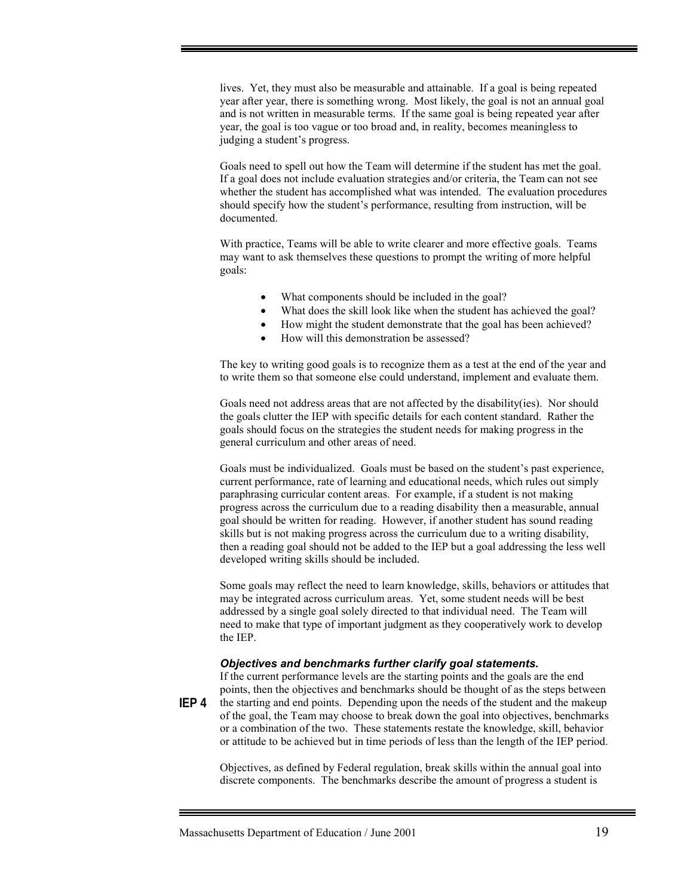lives. Yet, they must also be measurable and attainable. If a goal is being repeated year after year, there is something wrong. Most likely, the goal is not an annual goal and is not written in measurable terms. If the same goal is being repeated year after year, the goal is too vague or too broad and, in reality, becomes meaningless to judging a student's progress.

Goals need to spell out how the Team will determine if the student has met the goal. If a goal does not include evaluation strategies and/or criteria, the Team can not see whether the student has accomplished what was intended. The evaluation procedures should specify how the student's performance, resulting from instruction, will be documented.

With practice, Teams will be able to write clearer and more effective goals. Teams may want to ask themselves these questions to prompt the writing of more helpful goals:

- What components should be included in the goal?
- What does the skill look like when the student has achieved the goal?
- How might the student demonstrate that the goal has been achieved?
- How will this demonstration be assessed?

The key to writing good goals is to recognize them as a test at the end of the year and to write them so that someone else could understand, implement and evaluate them.

Goals need not address areas that are not affected by the disability(ies). Nor should the goals clutter the IEP with specific details for each content standard. Rather the goals should focus on the strategies the student needs for making progress in the general curriculum and other areas of need.

Goals must be individualized. Goals must be based on the student's past experience, current performance, rate of learning and educational needs, which rules out simply paraphrasing curricular content areas. For example, if a student is not making progress across the curriculum due to a reading disability then a measurable, annual goal should be written for reading. However, if another student has sound reading skills but is not making progress across the curriculum due to a writing disability, then a reading goal should not be added to the IEP but a goal addressing the less well developed writing skills should be included.

Some goals may reflect the need to learn knowledge, skills, behaviors or attitudes that may be integrated across curriculum areas. Yet, some student needs will be best addressed by a single goal solely directed to that individual need. The Team will need to make that type of important judgment as they cooperatively work to develop the IEP.

#### *Objectives and benchmarks further clarify goal statements.*

If the current performance levels are the starting points and the goals are the end points, then the objectives and benchmarks should be thought of as the steps between **IEP 4** the starting and end points. Depending upon the needs of the student and the makeup of the goal, the Team may choose to break down the goal into objectives, benchmarks or a combination of the two. These statements restate the knowledge, skill, behavior or attitude to be achieved but in time periods of less than the length of the IEP period.

Objectives, as defined by Federal regulation, break skills within the annual goal into discrete components. The benchmarks describe the amount of progress a student is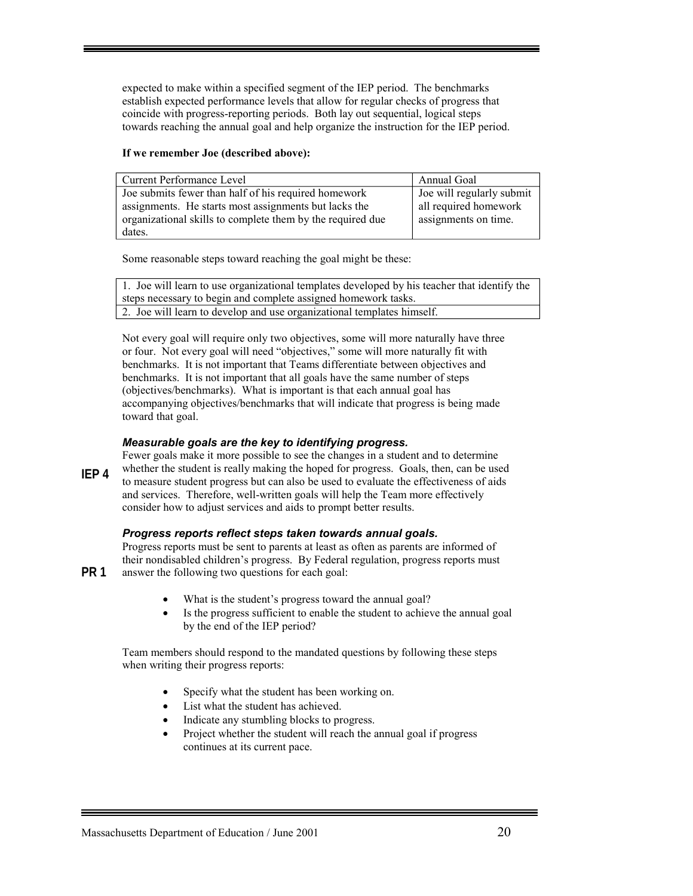expected to make within a specified segment of the IEP period. The benchmarks establish expected performance levels that allow for regular checks of progress that coincide with progress-reporting periods. Both lay out sequential, logical steps towards reaching the annual goal and help organize the instruction for the IEP period.

#### **If we remember Joe (described above):**

| Current Performance Level                                  | Annual Goal               |
|------------------------------------------------------------|---------------------------|
| Joe submits fewer than half of his required homework       | Joe will regularly submit |
| assignments. He starts most assignments but lacks the      | all required homework     |
| organizational skills to complete them by the required due | assignments on time.      |
| dates.                                                     |                           |

Some reasonable steps toward reaching the goal might be these:

1. Joe will learn to use organizational templates developed by his teacher that identify the steps necessary to begin and complete assigned homework tasks. 2. Joe will learn to develop and use organizational templates himself.

Not every goal will require only two objectives, some will more naturally have three or four. Not every goal will need "objectives," some will more naturally fit with benchmarks. It is not important that Teams differentiate between objectives and benchmarks. It is not important that all goals have the same number of steps (objectives/benchmarks). What is important is that each annual goal has accompanying objectives/benchmarks that will indicate that progress is being made toward that goal.

## *Measurable goals are the key to identifying progress.*

Fewer goals make it more possible to see the changes in a student and to determine **IFP 4** whether the student is really making the hoped for progress. Goals, then, can be used to measure student progress but can also be used to evaluate the effectiveness of aids and services. Therefore, well-written goals will help the Team more effectively consider how to adjust services and aids to prompt better results.

#### *Progress reports reflect steps taken towards annual goals.*

Progress reports must be sent to parents at least as often as parents are informed of their nondisabled children's progress. By Federal regulation, progress reports must **PR 1** answer the following two questions for each goal:

- What is the student's progress toward the annual goal?
- Is the progress sufficient to enable the student to achieve the annual goal by the end of the IEP period?

Team members should respond to the mandated questions by following these steps when writing their progress reports:

- Specify what the student has been working on.
- List what the student has achieved.
- Indicate any stumbling blocks to progress.
- Project whether the student will reach the annual goal if progress continues at its current pace.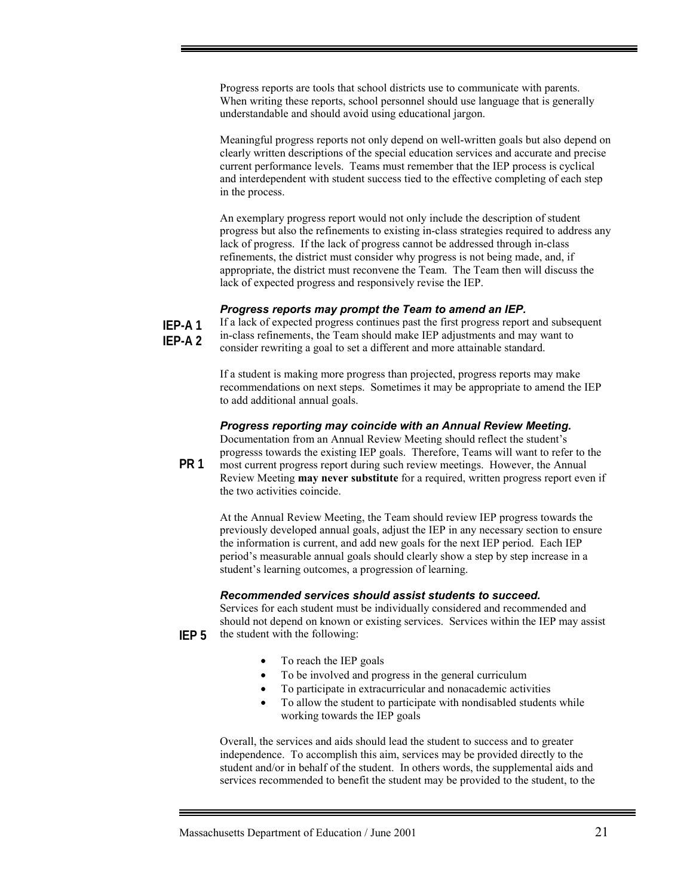Progress reports are tools that school districts use to communicate with parents. When writing these reports, school personnel should use language that is generally understandable and should avoid using educational jargon.

Meaningful progress reports not only depend on well-written goals but also depend on clearly written descriptions of the special education services and accurate and precise current performance levels. Teams must remember that the IEP process is cyclical and interdependent with student success tied to the effective completing of each step in the process.

An exemplary progress report would not only include the description of student progress but also the refinements to existing in-class strategies required to address any lack of progress. If the lack of progress cannot be addressed through in-class refinements, the district must consider why progress is not being made, and, if appropriate, the district must reconvene the Team. The Team then will discuss the lack of expected progress and responsively revise the IEP.

#### *Progress reports may prompt the Team to amend an IEP.*

**IEP-A 1** If a lack of expected progress continues past the first progress report and subsequent **IEP-A 2** in-class refinements, the Team should make IEP adjustments and may want to consider rewriting a goal to set a different and more attainable standard.

> If a student is making more progress than projected, progress reports may make recommendations on next steps. Sometimes it may be appropriate to amend the IEP to add additional annual goals.

#### *Progress reporting may coincide with an Annual Review Meeting.*

Documentation from an Annual Review Meeting should reflect the student's progresss towards the existing IEP goals. Therefore, Teams will want to refer to the

**PR 1** most current progress report during such review meetings. However, the Annual Review Meeting **may never substitute** for a required, written progress report even if the two activities coincide.

At the Annual Review Meeting, the Team should review IEP progress towards the previously developed annual goals, adjust the IEP in any necessary section to ensure the information is current, and add new goals for the next IEP period. Each IEP period's measurable annual goals should clearly show a step by step increase in a student's learning outcomes, a progression of learning.

# *Recommended services should assist students to succeed.*

Services for each student must be individually considered and recommended and should not depend on known or existing services. Services within the IEP may assist **IEP 5** the student with the following:

- To reach the IEP goals
- To be involved and progress in the general curriculum
- To participate in extracurricular and nonacademic activities
- To allow the student to participate with nondisabled students while working towards the IEP goals

Overall, the services and aids should lead the student to success and to greater independence. To accomplish this aim, services may be provided directly to the student and/or in behalf of the student. In others words, the supplemental aids and services recommended to benefit the student may be provided to the student, to the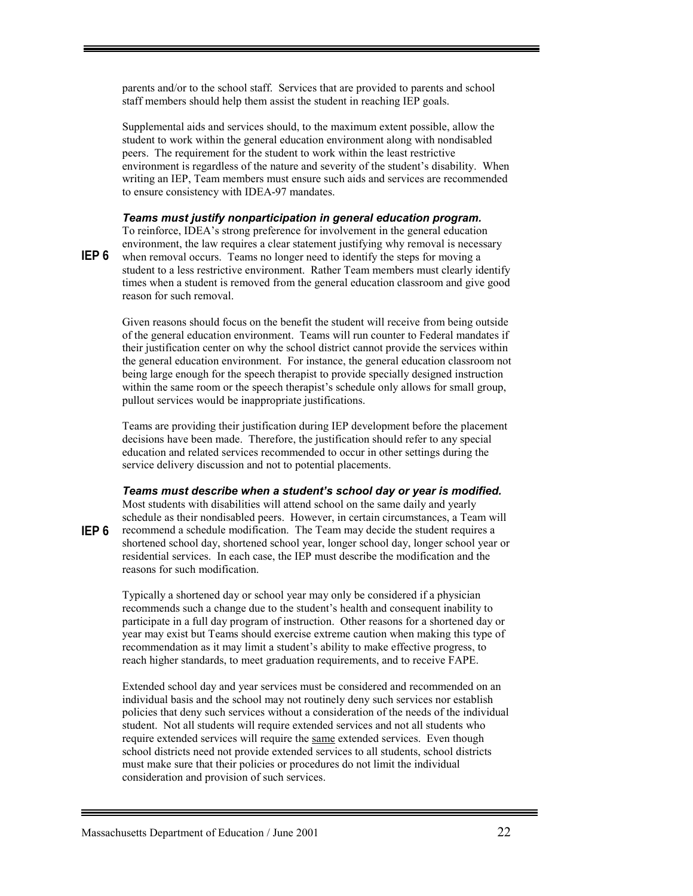parents and/or to the school staff. Services that are provided to parents and school staff members should help them assist the student in reaching IEP goals.

Supplemental aids and services should, to the maximum extent possible, allow the student to work within the general education environment along with nondisabled peers. The requirement for the student to work within the least restrictive environment is regardless of the nature and severity of the student's disability. When writing an IEP, Team members must ensure such aids and services are recommended to ensure consistency with IDEA-97 mandates.

#### *Teams must justify nonparticipation in general education program.*

To reinforce, IDEA's strong preference for involvement in the general education environment, the law requires a clear statement justifying why removal is necessary **IEP 6** when removal occurs. Teams no longer need to identify the steps for moving a student to a less restrictive environment. Rather Team members must clearly identify times when a student is removed from the general education classroom and give good

Given reasons should focus on the benefit the student will receive from being outside of the general education environment. Teams will run counter to Federal mandates if their justification center on why the school district cannot provide the services within the general education environment. For instance, the general education classroom not being large enough for the speech therapist to provide specially designed instruction within the same room or the speech therapist's schedule only allows for small group, pullout services would be inappropriate justifications.

Teams are providing their justification during IEP development before the placement decisions have been made. Therefore, the justification should refer to any special education and related services recommended to occur in other settings during the service delivery discussion and not to potential placements.

#### *Teams must describe when a student's school day or year is modified.*

Most students with disabilities will attend school on the same daily and yearly schedule as their nondisabled peers. However, in certain circumstances, a Team will **IEP 6** recommend a schedule modification. The Team may decide the student requires a shortened school day, shortened school year, longer school day, longer school year or residential services. In each case, the IEP must describe the modification and the reasons for such modification.

Typically a shortened day or school year may only be considered if a physician recommends such a change due to the student's health and consequent inability to participate in a full day program of instruction. Other reasons for a shortened day or year may exist but Teams should exercise extreme caution when making this type of recommendation as it may limit a student's ability to make effective progress, to reach higher standards, to meet graduation requirements, and to receive FAPE.

Extended school day and year services must be considered and recommended on an individual basis and the school may not routinely deny such services nor establish policies that deny such services without a consideration of the needs of the individual student. Not all students will require extended services and not all students who require extended services will require the same extended services. Even though school districts need not provide extended services to all students, school districts must make sure that their policies or procedures do not limit the individual consideration and provision of such services.

reason for such removal.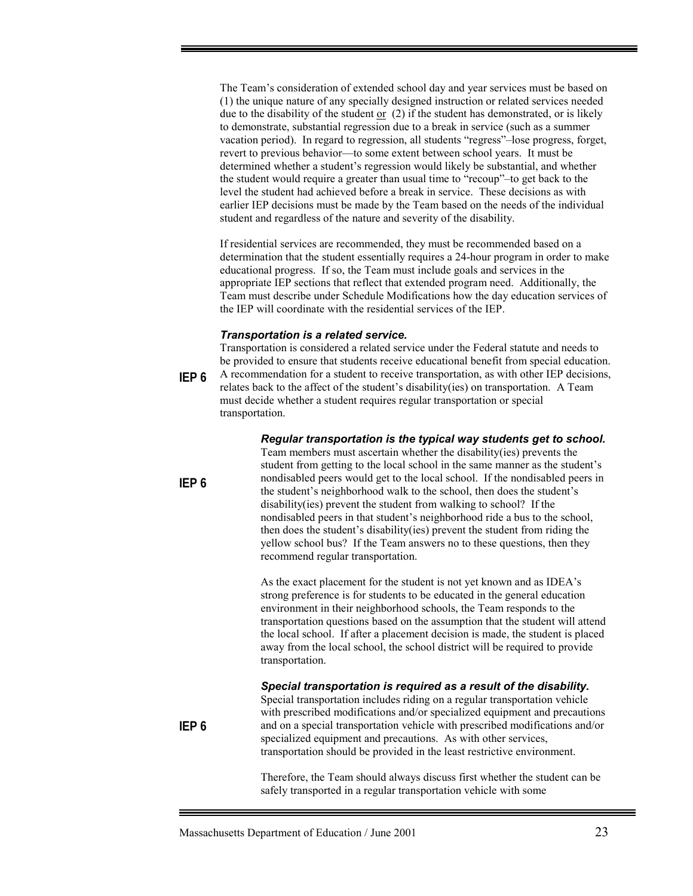The Team's consideration of extended school day and year services must be based on (1) the unique nature of any specially designed instruction or related services needed due to the disability of the student  $or (2)$  if the student has demonstrated, or is likely to demonstrate, substantial regression due to a break in service (such as a summer vacation period). In regard to regression, all students "regress"–lose progress, forget, revert to previous behavior—to some extent between school years. It must be determined whether a student's regression would likely be substantial, and whether the student would require a greater than usual time to "recoup"–to get back to the level the student had achieved before a break in service. These decisions as with earlier IEP decisions must be made by the Team based on the needs of the individual student and regardless of the nature and severity of the disability.

If residential services are recommended, they must be recommended based on a determination that the student essentially requires a 24-hour program in order to make educational progress. If so, the Team must include goals and services in the appropriate IEP sections that reflect that extended program need. Additionally, the Team must describe under Schedule Modifications how the day education services of the IEP will coordinate with the residential services of the IEP.

#### *Transportation is a related service.*

transportation.

Transportation is considered a related service under the Federal statute and needs to be provided to ensure that students receive educational benefit from special education. **IEP 6** A recommendation for a student to receive transportation, as with other IEP decisions, relates back to the affect of the student's disability(ies) on transportation. A Team must decide whether a student requires regular transportation or special

#### *Regular transportation is the typical way students get to school.*

Team members must ascertain whether the disability(ies) prevents the student from getting to the local school in the same manner as the student's **IEP 6** nondisabled peers would get to the local school. If the nondisabled peers in the student's neighborhood walk to the school, then does the student's disability(ies) prevent the student from walking to school? If the nondisabled peers in that student's neighborhood ride a bus to the school, then does the student's disability(ies) prevent the student from riding the yellow school bus? If the Team answers no to these questions, then they recommend regular transportation.

> As the exact placement for the student is not yet known and as IDEA's strong preference is for students to be educated in the general education environment in their neighborhood schools, the Team responds to the transportation questions based on the assumption that the student will attend the local school. If after a placement decision is made, the student is placed away from the local school, the school district will be required to provide transportation.

#### *Special transportation is required as a result of the disability.*

Special transportation includes riding on a regular transportation vehicle with prescribed modifications and/or specialized equipment and precautions **IEP 6** and on a special transportation vehicle with prescribed modifications and/or specialized equipment and precautions. As with other services, transportation should be provided in the least restrictive environment.

> Therefore, the Team should always discuss first whether the student can be safely transported in a regular transportation vehicle with some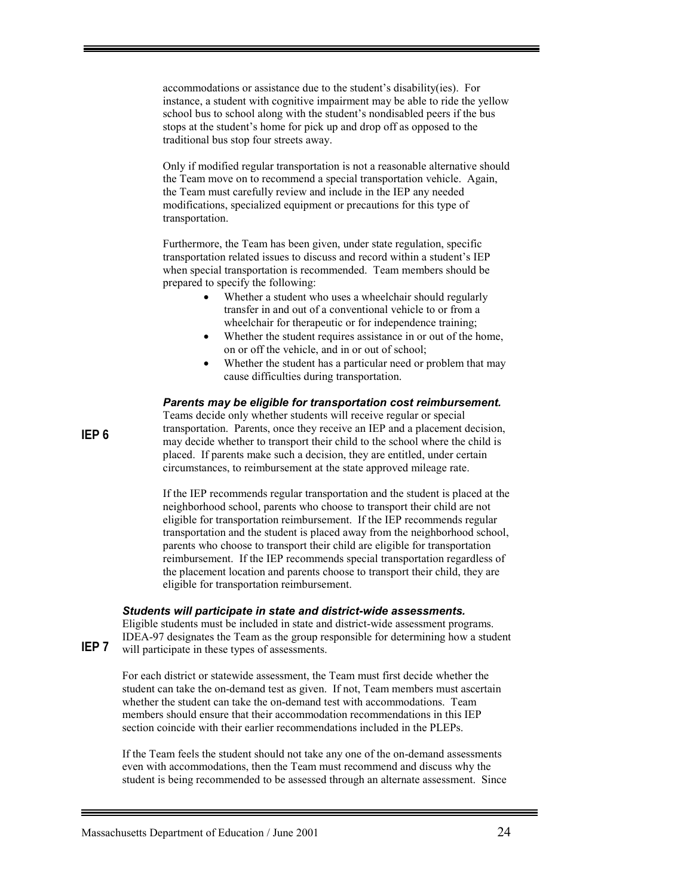accommodations or assistance due to the student's disability(ies). For instance, a student with cognitive impairment may be able to ride the yellow school bus to school along with the student's nondisabled peers if the bus stops at the student's home for pick up and drop off as opposed to the traditional bus stop four streets away.

Only if modified regular transportation is not a reasonable alternative should the Team move on to recommend a special transportation vehicle. Again, the Team must carefully review and include in the IEP any needed modifications, specialized equipment or precautions for this type of transportation.

Furthermore, the Team has been given, under state regulation, specific transportation related issues to discuss and record within a student's IEP when special transportation is recommended. Team members should be prepared to specify the following:

- Whether a student who uses a wheelchair should regularly transfer in and out of a conventional vehicle to or from a wheelchair for therapeutic or for independence training;
- Whether the student requires assistance in or out of the home, on or off the vehicle, and in or out of school;
- Whether the student has a particular need or problem that may cause difficulties during transportation.

#### *Parents may be eligible for transportation cost reimbursement.*

Teams decide only whether students will receive regular or special **IEP 6 transportation.** Parents, once they receive an IEP and a placement decision, may decide whether to transport their child to the school where the child is placed. If parents make such a decision, they are entitled, under certain circumstances, to reimbursement at the state approved mileage rate.

> If the IEP recommends regular transportation and the student is placed at the neighborhood school, parents who choose to transport their child are not eligible for transportation reimbursement. If the IEP recommends regular transportation and the student is placed away from the neighborhood school, parents who choose to transport their child are eligible for transportation reimbursement. If the IEP recommends special transportation regardless of the placement location and parents choose to transport their child, they are eligible for transportation reimbursement.

#### *Students will participate in state and district-wide assessments.*

Eligible students must be included in state and district-wide assessment programs. IDEA-97 designates the Team as the group responsible for determining how a student **IEP 7** will participate in these types of assessments.

For each district or statewide assessment, the Team must first decide whether the student can take the on-demand test as given. If not, Team members must ascertain whether the student can take the on-demand test with accommodations. Team members should ensure that their accommodation recommendations in this IEP section coincide with their earlier recommendations included in the PLEPs.

If the Team feels the student should not take any one of the on-demand assessments even with accommodations, then the Team must recommend and discuss why the student is being recommended to be assessed through an alternate assessment. Since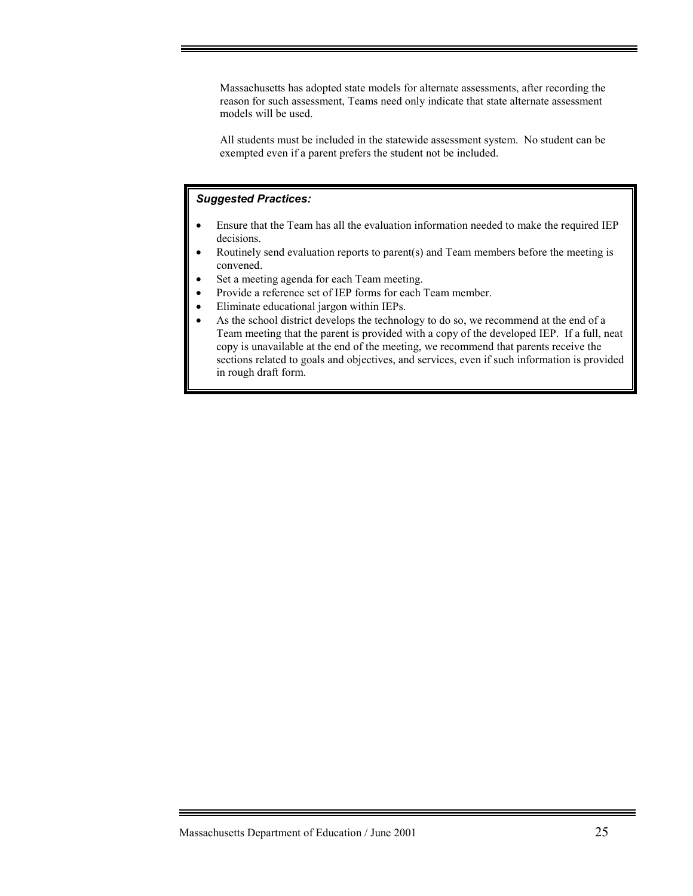Massachusetts has adopted state models for alternate assessments, after recording the reason for such assessment, Teams need only indicate that state alternate assessment models will be used.

All students must be included in the statewide assessment system. No student can be exempted even if a parent prefers the student not be included.

# *Suggested Practices:*

- · Ensure that the Team has all the evaluation information needed to make the required IEP decisions.
- · Routinely send evaluation reports to parent(s) and Team members before the meeting is convened.
- · Set a meeting agenda for each Team meeting.
- · Provide a reference set of IEP forms for each Team member.
- · Eliminate educational jargon within IEPs.
- · sections related to goals and objectives, and services, even if such information is provided As the school district develops the technology to do so, we recommend at the end of a Team meeting that the parent is provided with a copy of the developed IEP. If a full, neat copy is unavailable at the end of the meeting, we recommend that parents receive the in rough draft form.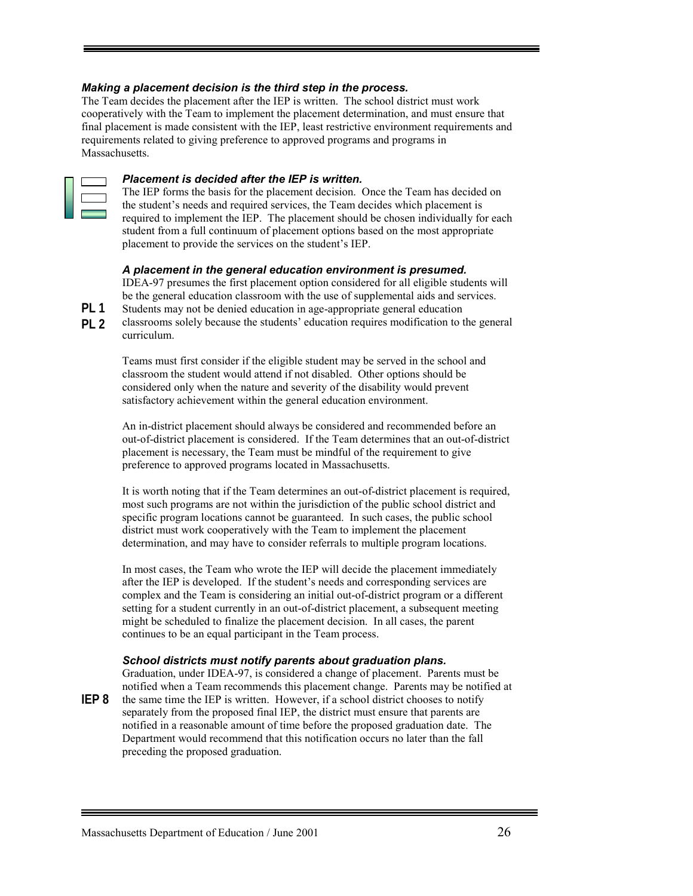#### *Making a placement decision is the third step in the process.*

The Team decides the placement after the IEP is written. The school district must work cooperatively with the Team to implement the placement determination, and must ensure that final placement is made consistent with the IEP, least restrictive environment requirements and requirements related to giving preference to approved programs and programs in Massachusetts.



#### *Placement is decided after the IEP is written.*

The IEP forms the basis for the placement decision. Once the Team has decided on the student's needs and required services, the Team decides which placement is required to implement the IEP. The placement should be chosen individually for each student from a full continuum of placement options based on the most appropriate placement to provide the services on the student's IEP.

#### *A placement in the general education environment is presumed.*

IDEA-97 presumes the first placement option considered for all eligible students will be the general education classroom with the use of supplemental aids and services.

- **PL 1** Students may not be denied education in age-appropriate general education
- **PL 2** classrooms solely because the students' education requires modification to the general curriculum.

Teams must first consider if the eligible student may be served in the school and classroom the student would attend if not disabled. Other options should be considered only when the nature and severity of the disability would prevent satisfactory achievement within the general education environment.

An in-district placement should always be considered and recommended before an out-of-district placement is considered. If the Team determines that an out-of-district placement is necessary, the Team must be mindful of the requirement to give preference to approved programs located in Massachusetts.

It is worth noting that if the Team determines an out-of-district placement is required, most such programs are not within the jurisdiction of the public school district and specific program locations cannot be guaranteed. In such cases, the public school district must work cooperatively with the Team to implement the placement determination, and may have to consider referrals to multiple program locations.

In most cases, the Team who wrote the IEP will decide the placement immediately after the IEP is developed. If the student's needs and corresponding services are complex and the Team is considering an initial out-of-district program or a different setting for a student currently in an out-of-district placement, a subsequent meeting might be scheduled to finalize the placement decision. In all cases, the parent continues to be an equal participant in the Team process.

#### *School districts must notify parents about graduation plans.*

Graduation, under IDEA-97, is considered a change of placement. Parents must be notified when a Team recommends this placement change. Parents may be notified at

**IEP 8** the same time the IEP is written. However, if a school district chooses to notify separately from the proposed final IEP, the district must ensure that parents are notified in a reasonable amount of time before the proposed graduation date. The Department would recommend that this notification occurs no later than the fall preceding the proposed graduation.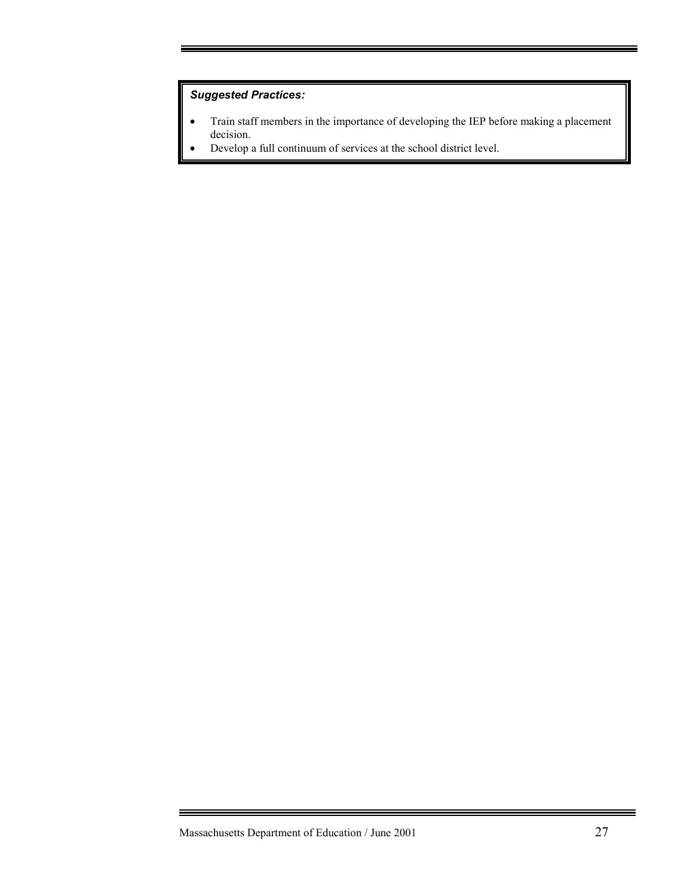# *Suggested Practices:*

Ξ

- · Train staff members in the importance of developing the IEP before making a placement decision.
- · Develop a full continuum of services at the school district level.

Ξ

Massachusetts Department of Education / June 2001 27